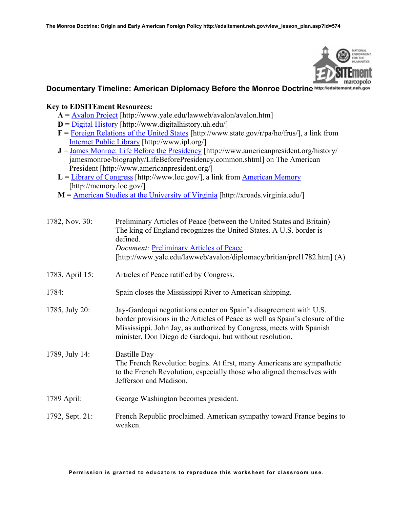

# **Documentary Timeline: American Diplomacy Before the Monroe Doctrine http://edsitement.neh.gov**

### **Key to EDSITEment Resources:**

- $A = \frac{A \cdot \text{valon Project}}{\text{http://www.yale.edu/lawweb/avalon/avalon.html}}$
- $D = Diqital History [http://www.digitalhistory.uk.edu/]$
- **F** = [Foreign Relations of the United States](http://www.state.gov/r/pa/ho/frus/) [http://www.state.gov/r/pa/ho/frus/], a link from [Internet Public Library](http://www.ipl.org/) [http://www.ipl.org/]
- **J** = [James Monroe: Life Before the Presidency](http://www.americanpresident.org/history/) [http://www.americanpresident.org/history/ jamesmonroe/biography/LifeBeforePresidency.common.shtml] on The American President [http://www.americanpresident.org/]
- $L =$  [Library of Congress](http://www.loc.gov/) [http://www.loc.gov/], a link from [American Memory](http://memory.loc.gov/) [http://memory.loc.gov/]
- **M** = [American Studies at the University of Virginia](http://xroads.virginia.edu/) [http://xroads.virginia.edu/]

| 1782, Nov. 30:  | Preliminary Articles of Peace (between the United States and Britain)<br>The king of England recognizes the United States. A U.S. border is<br>defined.<br><b>Document: Preliminary Articles of Peace</b><br>[http://www.yale.edu/lawweb/avalon/diplomacy/britian/prel1782.htm] (A)    |  |
|-----------------|----------------------------------------------------------------------------------------------------------------------------------------------------------------------------------------------------------------------------------------------------------------------------------------|--|
| 1783, April 15: | Articles of Peace ratified by Congress.                                                                                                                                                                                                                                                |  |
| 1784:           | Spain closes the Mississippi River to American shipping.                                                                                                                                                                                                                               |  |
| 1785, July 20:  | Jay-Gardoqui negotiations center on Spain's disagreement with U.S.<br>border provisions in the Articles of Peace as well as Spain's closure of the<br>Mississippi. John Jay, as authorized by Congress, meets with Spanish<br>minister, Don Diego de Gardoqui, but without resolution. |  |
| 1789, July 14:  | <b>Bastille Day</b><br>The French Revolution begins. At first, many Americans are sympathetic<br>to the French Revolution, especially those who aligned themselves with<br>Jefferson and Madison.                                                                                      |  |
| 1789 April:     | George Washington becomes president.                                                                                                                                                                                                                                                   |  |
| 1792, Sept. 21: | French Republic proclaimed. American sympathy toward France begins to<br>weaken.                                                                                                                                                                                                       |  |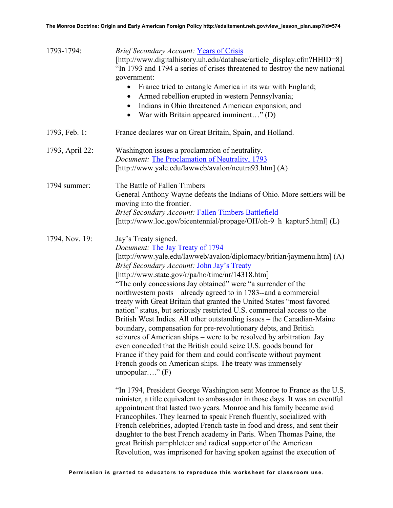| 1793-1794:      | <b>Brief Secondary Account: Years of Crisis</b><br>[http://www.digitalhistory.uh.edu/database/article_display.cfm?HHID=8]<br>"In 1793 and 1794 a series of crises threatened to destroy the new national<br>government:<br>France tried to entangle America in its war with England;<br>$\bullet$<br>Armed rebellion erupted in western Pennsylvania;<br>٠<br>Indians in Ohio threatened American expansion; and<br>$\bullet$<br>War with Britain appeared imminent" (D)<br>$\bullet$                                                                                                                                                                                                                                                                                                                                                                                                                                                                                           |
|-----------------|---------------------------------------------------------------------------------------------------------------------------------------------------------------------------------------------------------------------------------------------------------------------------------------------------------------------------------------------------------------------------------------------------------------------------------------------------------------------------------------------------------------------------------------------------------------------------------------------------------------------------------------------------------------------------------------------------------------------------------------------------------------------------------------------------------------------------------------------------------------------------------------------------------------------------------------------------------------------------------|
| 1793, Feb. 1:   | France declares war on Great Britain, Spain, and Holland.                                                                                                                                                                                                                                                                                                                                                                                                                                                                                                                                                                                                                                                                                                                                                                                                                                                                                                                       |
| 1793, April 22: | Washington issues a proclamation of neutrality.<br>Document: The Proclamation of Neutrality, 1793<br>[http://www.yale.edu/lawweb/avalon/neutra93.htm] (A)                                                                                                                                                                                                                                                                                                                                                                                                                                                                                                                                                                                                                                                                                                                                                                                                                       |
| 1794 summer:    | The Battle of Fallen Timbers<br>General Anthony Wayne defeats the Indians of Ohio. More settlers will be<br>moving into the frontier.<br><b>Brief Secondary Account: Fallen Timbers Battlefield</b><br>[http://www.loc.gov/bicentennial/propage/OH/oh-9 h kaptur5.html] (L)                                                                                                                                                                                                                                                                                                                                                                                                                                                                                                                                                                                                                                                                                                     |
| 1794, Nov. 19:  | Jay's Treaty signed.<br><i>Document:</i> The Jay Treaty of 1794<br>[http://www.yale.edu/lawweb/avalon/diplomacy/britian/jaymenu.htm] (A)<br>Brief Secondary Account: John Jay's Treaty<br>[http://www.state.gov/r/pa/ho/time/nr/14318.htm]<br>"The only concessions Jay obtained" were "a surrender of the<br>northwestern posts – already agreed to in 1783--and a commercial<br>treaty with Great Britain that granted the United States "most favored<br>nation" status, but seriously restricted U.S. commercial access to the<br>British West Indies. All other outstanding issues – the Canadian-Maine<br>boundary, compensation for pre-revolutionary debts, and British<br>seizures of American ships – were to be resolved by arbitration. Jay<br>even conceded that the British could seize U.S. goods bound for<br>France if they paid for them and could confiscate without payment<br>French goods on American ships. The treaty was immensely<br>unpopular" $(F)$ |
|                 | "In 1794, President George Washington sent Monroe to France as the U.S.<br>minister, a title equivalent to ambassador in those days. It was an eventful<br>appointment that lasted two years. Monroe and his family became avid<br>Francophiles. They learned to speak French fluently, socialized with<br>French celebrities, adopted French taste in food and dress, and sent their<br>daughter to the best French academy in Paris. When Thomas Paine, the<br>great British pamphleteer and radical supporter of the American<br>Revolution, was imprisoned for having spoken against the execution of                                                                                                                                                                                                                                                                                                                                                                       |
|                 |                                                                                                                                                                                                                                                                                                                                                                                                                                                                                                                                                                                                                                                                                                                                                                                                                                                                                                                                                                                 |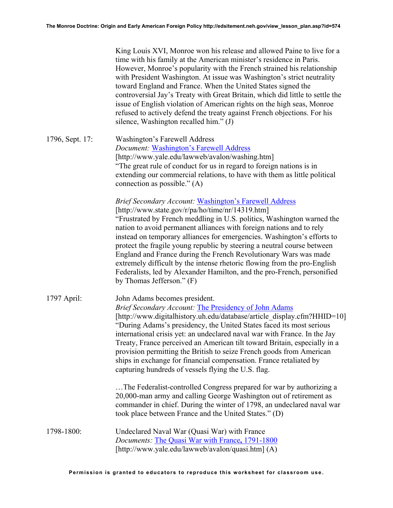King Louis XVI, Monroe won his release and allowed Paine to live for a time with his family at the American minister's residence in Paris. However, Monroe's popularity with the French strained his relationship with President Washington. At issue was Washington's strict neutrality toward England and France. When the United States signed the controversial Jay's Treaty with Great Britain, which did little to settle the issue of English violation of American rights on the high seas, Monroe refused to actively defend the treaty against French objections. For his silence, Washington recalled him." (J)

1796, Sept. 17: Washington's Farewell Address *Document:* [Washington's Farewell Address](http://www.yale.edu/lawweb/avalon/washing.htm) [http://www.yale.edu/lawweb/avalon/washing.htm] "The great rule of conduct for us in regard to foreign nations is in extending our commercial relations, to have with them as little political connection as possible." (A)

> *Brief Secondary Account:* [Washington's Farewell Address](http://www.state.gov/r/pa/ho/time/nr/14319.htm) [http://www.state.gov/r/pa/ho/time/nr/14319.htm] "Frustrated by French meddling in U.S. politics, Washington warned the nation to avoid permanent alliances with foreign nations and to rely instead on temporary alliances for emergencies. Washington's efforts to protect the fragile young republic by steering a neutral course between England and France during the French Revolutionary Wars was made extremely difficult by the intense rhetoric flowing from the pro-English Federalists, led by Alexander Hamilton, and the pro-French, personified by Thomas Jefferson." (F)

1797 April: John Adams becomes president. *Brief Secondary Account:* [The Presidency of John Adams](http://www.digitalhistory.uh.edu/database/article_display.cfm?HHID=10) [http://www.digitalhistory.uh.edu/database/article\_display.cfm?HHID=10] "During Adams's presidency, the United States faced its most serious international crisis yet: an undeclared naval war with France. In the Jay Treaty, France perceived an American tilt toward Britain, especially in a provision permitting the British to seize French goods from American ships in exchange for financial compensation. France retaliated by capturing hundreds of vessels flying the U.S. flag. …The Federalist-controlled Congress prepared for war by authorizing a

20,000-man army and calling George Washington out of retirement as commander in chief. During the winter of 1798, an undeclared naval war took place between France and the United States." (D)

1798-1800: Undeclared Naval War (Quasi War) with France *Documents:* [The Quasi War with France](http://www.yale.edu/lawweb/avalon/quasi.htm)**,** 1791-1800 [http://www.yale.edu/lawweb/avalon/quasi.htm] (A)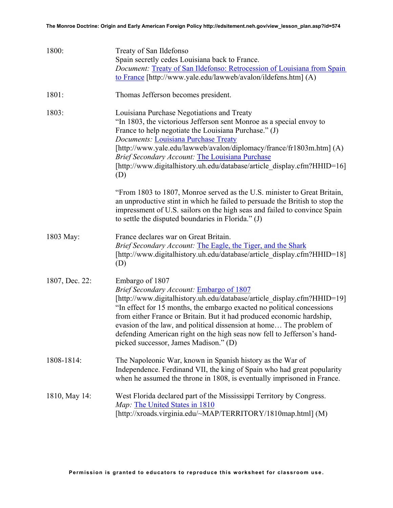| 1800:          | Treaty of San Ildefonso<br>Spain secretly cedes Louisiana back to France.<br>Document: Treaty of San Ildefonso: Retrocession of Louisiana from Spain<br>to France [http://www.yale.edu/lawweb/avalon/ildefens.htm] (A)                                                                                                                                                                                                                                                               |  |  |
|----------------|--------------------------------------------------------------------------------------------------------------------------------------------------------------------------------------------------------------------------------------------------------------------------------------------------------------------------------------------------------------------------------------------------------------------------------------------------------------------------------------|--|--|
| 1801:          | Thomas Jefferson becomes president.                                                                                                                                                                                                                                                                                                                                                                                                                                                  |  |  |
| 1803:          | Louisiana Purchase Negotiations and Treaty<br>"In 1803, the victorious Jefferson sent Monroe as a special envoy to<br>France to help negotiate the Louisiana Purchase." (J)<br><b>Documents: Louisiana Purchase Treaty</b><br>[http://www.yale.edu/lawweb/avalon/diplomacy/france/fr1803m.htm] (A)<br><b>Brief Secondary Account: The Louisiana Purchase</b><br>[http://www.digitalhistory.uh.edu/database/article_display.cfm?HHID=16]<br>(D)                                       |  |  |
|                | "From 1803 to 1807, Monroe served as the U.S. minister to Great Britain,<br>an unproductive stint in which he failed to persuade the British to stop the<br>impressment of U.S. sailors on the high seas and failed to convince Spain<br>to settle the disputed boundaries in Florida." (J)                                                                                                                                                                                          |  |  |
| 1803 May:      | France declares war on Great Britain.<br>Brief Secondary Account: The Eagle, the Tiger, and the Shark<br>[http://www.digitalhistory.uh.edu/database/article_display.cfm?HHID=18]<br>(D)                                                                                                                                                                                                                                                                                              |  |  |
| 1807, Dec. 22: | Embargo of 1807<br>Brief Secondary Account: Embargo of 1807<br>[http://www.digitalhistory.uh.edu/database/article_display.cfm?HHID=19]<br>"In effect for 15 months, the embargo exacted no political concessions<br>from either France or Britain. But it had produced economic hardship,<br>evasion of the law, and political dissension at home The problem of<br>defending American right on the high seas now fell to Jefferson's hand-<br>picked successor, James Madison." (D) |  |  |
| 1808-1814:     | The Napoleonic War, known in Spanish history as the War of<br>Independence. Ferdinand VII, the king of Spain who had great popularity<br>when he assumed the throne in 1808, is eventually imprisoned in France.                                                                                                                                                                                                                                                                     |  |  |
| 1810, May 14:  | West Florida declared part of the Mississippi Territory by Congress.<br>Map: The United States in 1810<br>[http://xroads.virginia.edu/~MAP/TERRITORY/1810map.html] (M)                                                                                                                                                                                                                                                                                                               |  |  |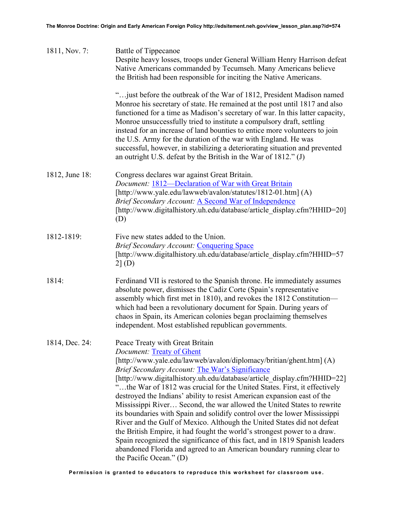| 1811, Nov. 7:  | Battle of Tippecanoe<br>Despite heavy losses, troops under General William Henry Harrison defeat<br>Native Americans commanded by Tecumseh. Many Americans believe<br>the British had been responsible for inciting the Native Americans.                                                                                                                                                                                                                                                                                                                                                                                                                                                                                                                                                                                                                                                                                         |  |  |
|----------------|-----------------------------------------------------------------------------------------------------------------------------------------------------------------------------------------------------------------------------------------------------------------------------------------------------------------------------------------------------------------------------------------------------------------------------------------------------------------------------------------------------------------------------------------------------------------------------------------------------------------------------------------------------------------------------------------------------------------------------------------------------------------------------------------------------------------------------------------------------------------------------------------------------------------------------------|--|--|
|                | " just before the outbreak of the War of 1812, President Madison named<br>Monroe his secretary of state. He remained at the post until 1817 and also<br>functioned for a time as Madison's secretary of war. In this latter capacity,<br>Monroe unsuccessfully tried to institute a compulsory draft, settling<br>instead for an increase of land bounties to entice more volunteers to join<br>the U.S. Army for the duration of the war with England. He was<br>successful, however, in stabilizing a deteriorating situation and prevented<br>an outright U.S. defeat by the British in the War of 1812." (J)                                                                                                                                                                                                                                                                                                                  |  |  |
| 1812, June 18: | Congress declares war against Great Britain.<br><i>Document:</i> 1812—Declaration of War with Great Britain<br>[http://www.yale.edu/lawweb/avalon/statutes/1812-01.htm] (A)<br><b>Brief Secondary Account: A Second War of Independence</b><br>[http://www.digitalhistory.uh.edu/database/article_display.cfm?HHID=20]<br>(D)                                                                                                                                                                                                                                                                                                                                                                                                                                                                                                                                                                                                     |  |  |
| 1812-1819:     | Five new states added to the Union.<br><b>Brief Secondary Account: Conquering Space</b><br>[http://www.digitalhistory.uh.edu/database/article_display.cfm?HHID=57<br>2 (D)                                                                                                                                                                                                                                                                                                                                                                                                                                                                                                                                                                                                                                                                                                                                                        |  |  |
| 1814:          | Ferdinand VII is restored to the Spanish throne. He immediately assumes<br>absolute power, dismisses the Cadiz Corte (Spain's representative<br>assembly which first met in 1810), and revokes the 1812 Constitution-<br>which had been a revolutionary document for Spain. During years of<br>chaos in Spain, its American colonies began proclaiming themselves<br>independent. Most established republican governments.                                                                                                                                                                                                                                                                                                                                                                                                                                                                                                        |  |  |
| 1814, Dec. 24: | Peace Treaty with Great Britain<br><i>Document:</i> Treaty of Ghent<br>[http://www.yale.edu/lawweb/avalon/diplomacy/britian/ghent.htm] (A)<br>Brief Secondary Account: The War's Significance<br>[http://www.digitalhistory.uh.edu/database/article_display.cfm?HHID=22]<br>"the War of 1812 was crucial for the United States. First, it effectively<br>destroyed the Indians' ability to resist American expansion east of the<br>Mississippi River Second, the war allowed the United States to rewrite<br>its boundaries with Spain and solidify control over the lower Mississippi<br>River and the Gulf of Mexico. Although the United States did not defeat<br>the British Empire, it had fought the world's strongest power to a draw.<br>Spain recognized the significance of this fact, and in 1819 Spanish leaders<br>abandoned Florida and agreed to an American boundary running clear to<br>the Pacific Ocean." (D) |  |  |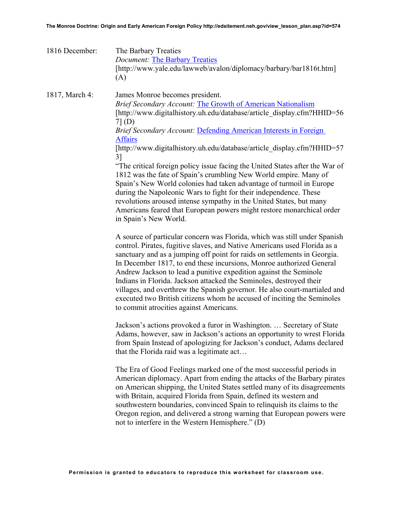| 1816 December: | The Barbary Treaties<br><b>Document: The Barbary Treaties</b><br>[http://www.yale.edu/lawweb/avalon/diplomacy/barbary/bar1816t.htm]<br>(A)                                                                                                                                                                                                                                                                                                                                                                                                                                                                                                                                                                                                                                                                                                                                                                                                                                                                                                                                                                                                                                                                                                                                                                                                                                                                                                                                                                                                                                                                                                                                                                                                                                                                                                                                                                                                                                                                                                                                                                                                                                                                                                                                                               |  |  |  |
|----------------|----------------------------------------------------------------------------------------------------------------------------------------------------------------------------------------------------------------------------------------------------------------------------------------------------------------------------------------------------------------------------------------------------------------------------------------------------------------------------------------------------------------------------------------------------------------------------------------------------------------------------------------------------------------------------------------------------------------------------------------------------------------------------------------------------------------------------------------------------------------------------------------------------------------------------------------------------------------------------------------------------------------------------------------------------------------------------------------------------------------------------------------------------------------------------------------------------------------------------------------------------------------------------------------------------------------------------------------------------------------------------------------------------------------------------------------------------------------------------------------------------------------------------------------------------------------------------------------------------------------------------------------------------------------------------------------------------------------------------------------------------------------------------------------------------------------------------------------------------------------------------------------------------------------------------------------------------------------------------------------------------------------------------------------------------------------------------------------------------------------------------------------------------------------------------------------------------------------------------------------------------------------------------------------------------------|--|--|--|
| 1817, March 4: | James Monroe becomes president.<br><b>Brief Secondary Account: The Growth of American Nationalism</b><br>[http://www.digitalhistory.uh.edu/database/article display.cfm?HHID=56<br>$7($ (D)<br>Brief Secondary Account: Defending American Interests in Foreign<br><b>Affairs</b><br>[http://www.digitalhistory.uh.edu/database/article_display.cfm?HHID=57<br>3<br>"The critical foreign policy issue facing the United States after the War of<br>1812 was the fate of Spain's crumbling New World empire. Many of<br>Spain's New World colonies had taken advantage of turmoil in Europe<br>during the Napoleonic Wars to fight for their independence. These<br>revolutions aroused intense sympathy in the United States, but many<br>Americans feared that European powers might restore monarchical order<br>in Spain's New World.<br>A source of particular concern was Florida, which was still under Spanish<br>control. Pirates, fugitive slaves, and Native Americans used Florida as a<br>sanctuary and as a jumping off point for raids on settlements in Georgia.<br>In December 1817, to end these incursions, Monroe authorized General<br>Andrew Jackson to lead a punitive expedition against the Seminole<br>Indians in Florida. Jackson attacked the Seminoles, destroyed their<br>villages, and overthrew the Spanish governor. He also court-martialed and<br>executed two British citizens whom he accused of inciting the Seminoles<br>to commit atrocities against Americans.<br>Jackson's actions provoked a furor in Washington.  Secretary of State<br>Adams, however, saw in Jackson's actions an opportunity to wrest Florida<br>from Spain Instead of apologizing for Jackson's conduct, Adams declared<br>that the Florida raid was a legitimate act<br>The Era of Good Feelings marked one of the most successful periods in<br>American diplomacy. Apart from ending the attacks of the Barbary pirates<br>on American shipping, the United States settled many of its disagreements<br>with Britain, acquired Florida from Spain, defined its western and<br>southwestern boundaries, convinced Spain to relinquish its claims to the<br>Oregon region, and delivered a strong warning that European powers were<br>not to interfere in the Western Hemisphere." (D) |  |  |  |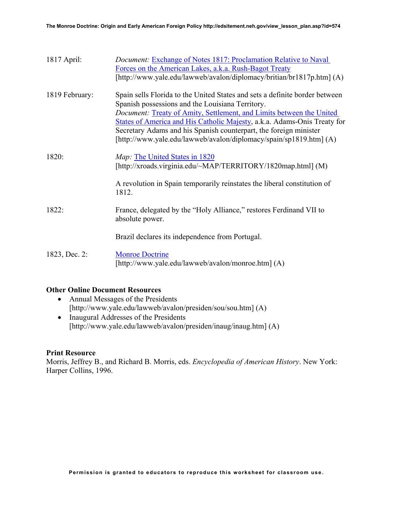| $1817$ April:  | <i>Document:</i> Exchange of Notes 1817: Proclamation Relative to Naval<br>Forces on the American Lakes, a.k.a. Rush-Bagot Treaty<br>[http://www.yale.edu/lawweb/avalon/diplomacy/britian/br1817p.htm] (A)                                                                                                                                                                                                                     |
|----------------|--------------------------------------------------------------------------------------------------------------------------------------------------------------------------------------------------------------------------------------------------------------------------------------------------------------------------------------------------------------------------------------------------------------------------------|
| 1819 February: | Spain sells Florida to the United States and sets a definite border between<br>Spanish possessions and the Louisiana Territory.<br>Document: Treaty of Amity, Settlement, and Limits between the United<br>States of America and His Catholic Majesty, a.k.a. Adams-Onis Treaty for<br>Secretary Adams and his Spanish counterpart, the foreign minister<br>[http://www.yale.edu/lawweb/avalon/diplomacy/spain/sp1819.htm] (A) |
| 1820:          | Map: The United States in 1820<br>[http://xroads.virginia.edu/~MAP/TERRITORY/1820map.html] (M)                                                                                                                                                                                                                                                                                                                                 |
|                | A revolution in Spain temporarily reinstates the liberal constitution of<br>1812.                                                                                                                                                                                                                                                                                                                                              |
| 1822:          | France, delegated by the "Holy Alliance," restores Ferdinand VII to<br>absolute power.                                                                                                                                                                                                                                                                                                                                         |
|                | Brazil declares its independence from Portugal.                                                                                                                                                                                                                                                                                                                                                                                |
| 1823, Dec. 2:  | <b>Monroe Doctrine</b><br>[http://www.yale.edu/lawweb/avalon/monroe.htm] (A)                                                                                                                                                                                                                                                                                                                                                   |

### **Other Online Document Resources**

- Annual Messages of the Presidents [http://www.yale.edu/lawweb/avalon/presiden/sou/sou.htm] (A)
- Inaugural Addresses of the Presidents [http://www.yale.edu/lawweb/avalon/presiden/inaug/inaug.htm] (A)

### **Print Resource**

Morris, Jeffrey B., and Richard B. Morris, eds. *Encyclopedia of American History*. New York: Harper Collins, 1996.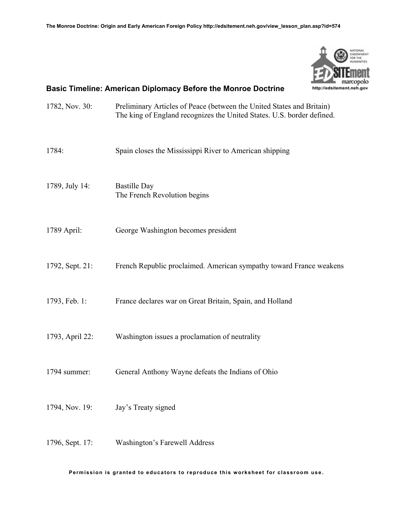

# **Basic Timeline: American Diplomacy Before the Monroe Doctrine**

| 1782, Nov. 30:  | Preliminary Articles of Peace (between the United States and Britain)<br>The king of England recognizes the United States. U.S. border defined. |  |  |
|-----------------|-------------------------------------------------------------------------------------------------------------------------------------------------|--|--|
| 1784:           | Spain closes the Mississippi River to American shipping                                                                                         |  |  |
| 1789, July 14:  | <b>Bastille Day</b><br>The French Revolution begins                                                                                             |  |  |
| 1789 April:     | George Washington becomes president                                                                                                             |  |  |
| 1792, Sept. 21: | French Republic proclaimed. American sympathy toward France weakens                                                                             |  |  |
| 1793, Feb. 1:   | France declares war on Great Britain, Spain, and Holland                                                                                        |  |  |
| 1793, April 22: | Washington issues a proclamation of neutrality                                                                                                  |  |  |
| 1794 summer:    | General Anthony Wayne defeats the Indians of Ohio                                                                                               |  |  |
| 1794, Nov. 19:  | Jay's Treaty signed                                                                                                                             |  |  |
| 1796, Sept. 17: | <b>Washington's Farewell Address</b>                                                                                                            |  |  |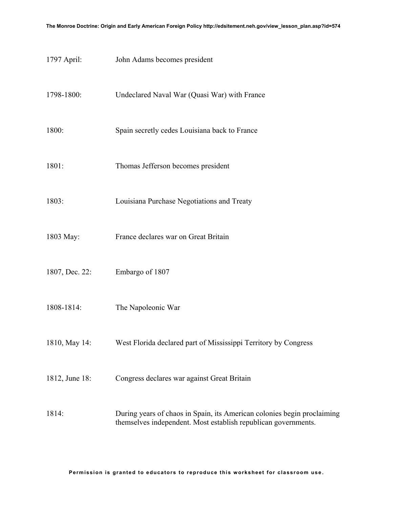| 1797 April:    | John Adams becomes president                                                                                                              |  |  |  |  |
|----------------|-------------------------------------------------------------------------------------------------------------------------------------------|--|--|--|--|
| 1798-1800:     | Undeclared Naval War (Quasi War) with France                                                                                              |  |  |  |  |
| 1800:          | Spain secretly cedes Louisiana back to France                                                                                             |  |  |  |  |
| 1801:          | Thomas Jefferson becomes president                                                                                                        |  |  |  |  |
| 1803:          | Louisiana Purchase Negotiations and Treaty                                                                                                |  |  |  |  |
| 1803 May:      | France declares war on Great Britain                                                                                                      |  |  |  |  |
| 1807, Dec. 22: | Embargo of 1807                                                                                                                           |  |  |  |  |
| 1808-1814:     | The Napoleonic War                                                                                                                        |  |  |  |  |
| 1810, May 14:  | West Florida declared part of Mississippi Territory by Congress                                                                           |  |  |  |  |
| 1812, June 18: | Congress declares war against Great Britain                                                                                               |  |  |  |  |
| 1814:          | During years of chaos in Spain, its American colonies begin proclaiming<br>themselves independent. Most establish republican governments. |  |  |  |  |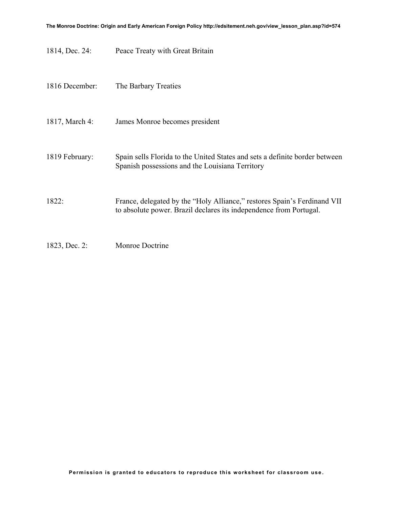1814, Dec. 24: Peace Treaty with Great Britain

| 1816 December: | The Barbary Treaties                                                                                                                           |
|----------------|------------------------------------------------------------------------------------------------------------------------------------------------|
| 1817, March 4: | James Monroe becomes president                                                                                                                 |
| 1819 February: | Spain sells Florida to the United States and sets a definite border between<br>Spanish possessions and the Louisiana Territory                 |
| 1822:          | France, delegated by the "Holy Alliance," restores Spain's Ferdinand VII<br>to absolute power. Brazil declares its independence from Portugal. |
| 1823, Dec. 2:  | Monroe Doctrine                                                                                                                                |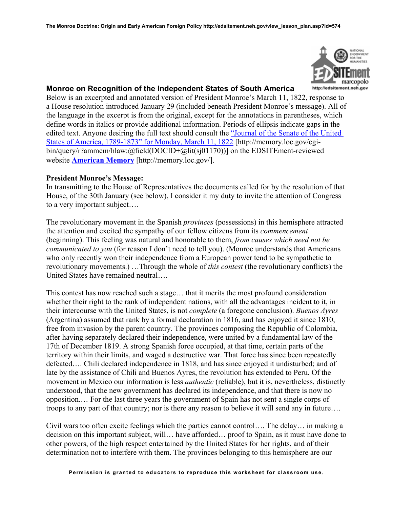

# **Monroe on Recognition of the Independent States of South America**

Below is an excerpted and annotated version of President Monroe's March 11, 1822, response to a House resolution introduced January 29 (included beneath President Monroe's message). All of the language in the excerpt is from the original, except for the annotations in parentheses, which define words in italics or provide additional information. Periods of ellipsis indicate gaps in the edited text. Anyone desiring the full text should consult the ["Journal of the Senate of the United](http://memory.loc.gov/cgi-bin/query/r?ammem/hlaw:@field(DOCID+@lit(sj01170)))  [States of America, 1789-1873" for Monday, March 11, 1822](http://memory.loc.gov/cgi-bin/query/r?ammem/hlaw:@field(DOCID+@lit(sj01170))) [http://memory.loc.gov/cgibin/query/r?ammem/hlaw:@field(DOCID+@lit(sj01170))] on the EDSITEment-reviewed website **[American Memory](http://memory.loc.gov/)** [http://memory.loc.gov/].

# **President Monroe's Message:**

In transmitting to the House of Representatives the documents called for by the resolution of that House, of the 30th January (see below), I consider it my duty to invite the attention of Congress to a very important subject….

The revolutionary movement in the Spanish *provinces* (possessions) in this hemisphere attracted the attention and excited the sympathy of our fellow citizens from its *commencement* (beginning). This feeling was natural and honorable to them, *from causes which need not be communicated to you* (for reason I don't need to tell you). (Monroe understands that Americans who only recently won their independence from a European power tend to be sympathetic to revolutionary movements.) …Through the whole of *this contest* (the revolutionary conflicts) the United States have remained neutral….

This contest has now reached such a stage… that it merits the most profound consideration whether their right to the rank of independent nations, with all the advantages incident to it, in their intercourse with the United States, is not *complete* (a foregone conclusion). *Buenos Ayres* (Argentina) assumed that rank by a formal declaration in 1816, and has enjoyed it since 1810, free from invasion by the parent country. The provinces composing the Republic of Colombia, after having separately declared their independence, were united by a fundamental law of the 17th of December 1819. A strong Spanish force occupied, at that time, certain parts of the territory within their limits, and waged a destructive war. That force has since been repeatedly defeated…. Chili declared independence in 1818, and has since enjoyed it undisturbed; and of late by the assistance of Chili and Buenos Ayres, the revolution has extended to Peru. Of the movement in Mexico our information is less *authentic* (reliable), but it is, nevertheless, distinctly understood, that the new government has declared its independence, and that there is now no opposition.… For the last three years the government of Spain has not sent a single corps of troops to any part of that country; nor is there any reason to believe it will send any in future….

Civil wars too often excite feelings which the parties cannot control…. The delay… in making a decision on this important subject, will… have afforded… proof to Spain, as it must have done to other powers, of the high respect entertained by the United States for her rights, and of their determination not to interfere with them. The provinces belonging to this hemisphere are our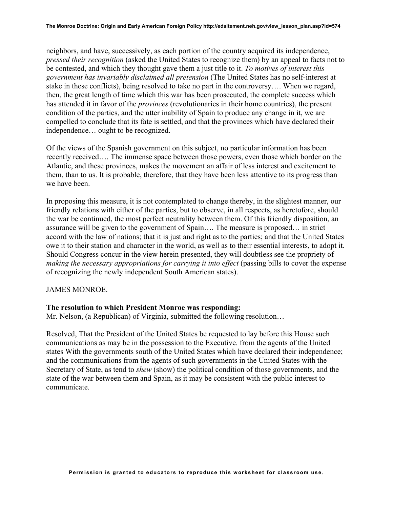neighbors, and have, successively, as each portion of the country acquired its independence, *pressed their recognition* (asked the United States to recognize them) by an appeal to facts not to be contested, and which they thought gave them a just title to it. *To motives of interest this government has invariably disclaimed all pretension* (The United States has no self-interest at stake in these conflicts), being resolved to take no part in the controversy…. When we regard, then, the great length of time which this war has been prosecuted, the complete success which has attended it in favor of the *provinces* (revolutionaries in their home countries), the present condition of the parties, and the utter inability of Spain to produce any change in it, we are compelled to conclude that its fate is settled, and that the provinces which have declared their independence… ought to be recognized.

Of the views of the Spanish government on this subject, no particular information has been recently received…. The immense space between those powers, even those which border on the Atlantic, and these provinces, makes the movement an affair of less interest and excitement to them, than to us. It is probable, therefore, that they have been less attentive to its progress than we have been.

In proposing this measure, it is not contemplated to change thereby, in the slightest manner, our friendly relations with either of the parties, but to observe, in all respects, as heretofore, should the war be continued, the most perfect neutrality between them. Of this friendly disposition, an assurance will be given to the government of Spain…. The measure is proposed… in strict accord with the law of nations; that it is just and right as to the parties; and that the United States owe it to their station and character in the world, as well as to their essential interests, to adopt it. Should Congress concur in the view herein presented, they will doubtless see the propriety of *making the necessary appropriations for carrying it into effect* (passing bills to cover the expense of recognizing the newly independent South American states).

#### JAMES MONROE.

#### **The resolution to which President Monroe was responding:**

Mr. Nelson, (a Republican) of Virginia, submitted the following resolution…

Resolved, That the President of the United States be requested to lay before this House such communications as may be in the possession to the Executive. from the agents of the United states With the governments south of the United States which have declared their independence; and the communications from the agents of such governments in the United States with the Secretary of State, as tend to *shew* (show) the political condition of those governments, and the state of the war between them and Spain, as it may be consistent with the public interest to communicate.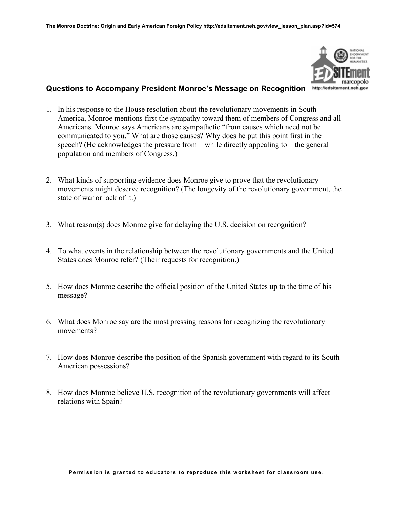

# **Questions to Accompany President Monroe's Message on Recognition**

- 1. In his response to the House resolution about the revolutionary movements in South America, Monroe mentions first the sympathy toward them of members of Congress and all Americans. Monroe says Americans are sympathetic "from causes which need not be communicated to you." What are those causes? Why does he put this point first in the speech? (He acknowledges the pressure from—while directly appealing to—the general population and members of Congress.)
- 2. What kinds of supporting evidence does Monroe give to prove that the revolutionary movements might deserve recognition? (The longevity of the revolutionary government, the state of war or lack of it.)
- 3. What reason(s) does Monroe give for delaying the U.S. decision on recognition?
- 4. To what events in the relationship between the revolutionary governments and the United States does Monroe refer? (Their requests for recognition.)
- 5. How does Monroe describe the official position of the United States up to the time of his message?
- 6. What does Monroe say are the most pressing reasons for recognizing the revolutionary movements?
- 7. How does Monroe describe the position of the Spanish government with regard to its South American possessions?
- 8. How does Monroe believe U.S. recognition of the revolutionary governments will affect relations with Spain?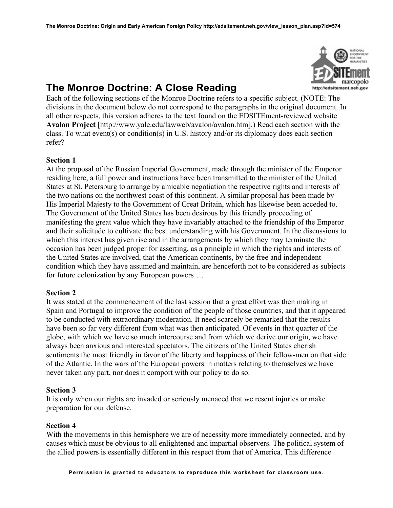

# **The Monroe Doctrine: A Close Reading**

Each of the following sections of the Monroe Doctrine refers to a specific subject. (NOTE: The divisions in the document below do not correspond to the paragraphs in the original document. In all other respects, this version adheres to the text found on the EDSITEment-reviewed website **Avalon Project** [http://www.yale.edu/lawweb/avalon/avalon.htm].) Read each section with the class. To what event(s) or condition(s) in U.S. history and/or its diplomacy does each section refer?

# **Section 1**

At the proposal of the Russian Imperial Government, made through the minister of the Emperor residing here, a full power and instructions have been transmitted to the minister of the United States at St. Petersburg to arrange by amicable negotiation the respective rights and interests of the two nations on the northwest coast of this continent. A similar proposal has been made by His Imperial Majesty to the Government of Great Britain, which has likewise been acceded to. The Government of the United States has been desirous by this friendly proceeding of manifesting the great value which they have invariably attached to the friendship of the Emperor and their solicitude to cultivate the best understanding with his Government. In the discussions to which this interest has given rise and in the arrangements by which they may terminate the occasion has been judged proper for asserting, as a principle in which the rights and interests of the United States are involved, that the American continents, by the free and independent condition which they have assumed and maintain, are henceforth not to be considered as subjects for future colonization by any European powers….

# **Section 2**

It was stated at the commencement of the last session that a great effort was then making in Spain and Portugal to improve the condition of the people of those countries, and that it appeared to be conducted with extraordinary moderation. It need scarcely be remarked that the results have been so far very different from what was then anticipated. Of events in that quarter of the globe, with which we have so much intercourse and from which we derive our origin, we have always been anxious and interested spectators. The citizens of the United States cherish sentiments the most friendly in favor of the liberty and happiness of their fellow-men on that side of the Atlantic. In the wars of the European powers in matters relating to themselves we have never taken any part, nor does it comport with our policy to do so.

# **Section 3**

It is only when our rights are invaded or seriously menaced that we resent injuries or make preparation for our defense.

# **Section 4**

With the movements in this hemisphere we are of necessity more immediately connected, and by causes which must be obvious to all enlightened and impartial observers. The political system of the allied powers is essentially different in this respect from that of America. This difference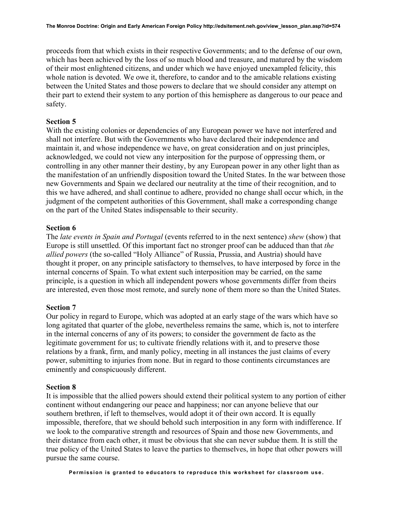proceeds from that which exists in their respective Governments; and to the defense of our own, which has been achieved by the loss of so much blood and treasure, and matured by the wisdom of their most enlightened citizens, and under which we have enjoyed unexampled felicity, this whole nation is devoted. We owe it, therefore, to candor and to the amicable relations existing between the United States and those powers to declare that we should consider any attempt on their part to extend their system to any portion of this hemisphere as dangerous to our peace and safety.

### **Section 5**

With the existing colonies or dependencies of any European power we have not interfered and shall not interfere. But with the Governments who have declared their independence and maintain it, and whose independence we have, on great consideration and on just principles, acknowledged, we could not view any interposition for the purpose of oppressing them, or controlling in any other manner their destiny, by any European power in any other light than as the manifestation of an unfriendly disposition toward the United States. In the war between those new Governments and Spain we declared our neutrality at the time of their recognition, and to this we have adhered, and shall continue to adhere, provided no change shall occur which, in the judgment of the competent authorities of this Government, shall make a corresponding change on the part of the United States indispensable to their security.

### **Section 6**

The *late events in Spain and Portugal* (events referred to in the next sentence) *shew* (show) that Europe is still unsettled. Of this important fact no stronger proof can be adduced than that *the allied powers* (the so-called "Holy Alliance" of Russia, Prussia, and Austria) should have thought it proper, on any principle satisfactory to themselves, to have interposed by force in the internal concerns of Spain. To what extent such interposition may be carried, on the same principle, is a question in which all independent powers whose governments differ from theirs are interested, even those most remote, and surely none of them more so than the United States.

### **Section 7**

Our policy in regard to Europe, which was adopted at an early stage of the wars which have so long agitated that quarter of the globe, nevertheless remains the same, which is, not to interfere in the internal concerns of any of its powers; to consider the government de facto as the legitimate government for us; to cultivate friendly relations with it, and to preserve those relations by a frank, firm, and manly policy, meeting in all instances the just claims of every power, submitting to injuries from none. But in regard to those continents circumstances are eminently and conspicuously different.

#### **Section 8**

It is impossible that the allied powers should extend their political system to any portion of either continent without endangering our peace and happiness; nor can anyone believe that our southern brethren, if left to themselves, would adopt it of their own accord. It is equally impossible, therefore, that we should behold such interposition in any form with indifference. If we look to the comparative strength and resources of Spain and those new Governments, and their distance from each other, it must be obvious that she can never subdue them. It is still the true policy of the United States to leave the parties to themselves, in hope that other powers will pursue the same course.

**Permission is granted to educators to reproduce this worksheet for classroom use**.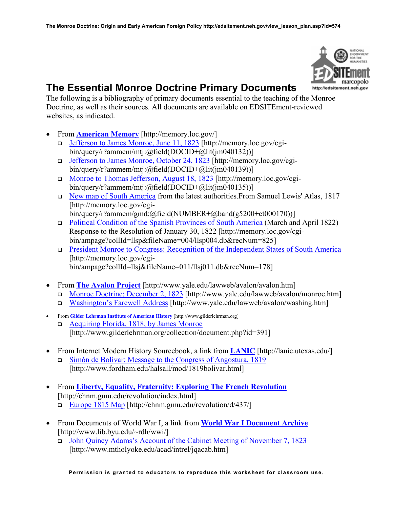

# **The Essential Monroe Doctrine Primary Documents**

The following is a bibliography of primary documents essential to the teaching of the Monroe Doctrine, as well as their sources. All documents are available on EDSITEment-reviewed websites, as indicated.

- From **[American Memory](http://memory.loc.gov/)** [http://memory.loc.gov/]
	- [Jefferson to James Monroe, June 11, 1823](http://memory.loc.gov/cgi-bin/query/r?ammem/mtj:@field(DOCID+@lit(jm040132))) [http://memory.loc.gov/cgibin/query/r?ammem/mtj:@field(DOCID+@lit(jm040132))]
	- [Jefferson to James Monroe, October 24, 1823](http://memory.loc.gov/cgi-bin/query/r?ammem/mtj:@field(DOCID+@lit(jm040139))) [http://memory.loc.gov/cgibin/query/r?ammem/mtj:@field(DOCID+@lit(jm040139))]
	- □ [Monroe to Thomas Jefferson, August 18, 1823](http://memory.loc.gov/cgi-bin/query/r?ammem/mtj:@field(DOCID+@lit(jm040135))) [http://memory.loc.gov/cgibin/query/r?ammem/mtj:@field(DOCID+@lit(jm040135))]
	- [New map of South America](http://memory.loc.gov/cgi-bin/query/r?ammem/gmd:@field(NUMBER+@band(g5200+ct000170))) from the latest authorities.From Samuel Lewis' Atlas, 1817 [http://memory.loc.gov/cgi-

bin/query/r?ammem/gmd:@field(NUMBER+@band(g5200+ct000170))]

- [Political Condition of the Spanish Provinces of South America](http://memory.loc.gov/cgi-bin/ampage?collId=llsp&fileName=004/llsp004.db&recNum=825) (March and April 1822) Response to the Resolution of January 30, 1822 [http://memory.loc.gov/cgibin/ampage?collId=llsp&fileName=004/llsp004.db&recNum=825]
- [President Monroe to Congress: Recognition of the Independent States of South America](http://memory.loc.gov/cgi-bin/ampage?collId=llsj&fileName=011/llsj011.db&recNum=178) [http://memory.loc.gov/cgibin/ampage?collId=llsj&fileName=011/llsj011.db&recNum=178]
- From **[The Avalon Project](http://www.yale.edu/lawweb/avalon/avalon.htm)** [http://www.yale.edu/lawweb/avalon/avalon.htm]
	- [Monroe Doctrine; December 2, 1823](http://www.yale.edu/lawweb/avalon/monroe.htm) [http://www.yale.edu/lawweb/avalon/monroe.htm]
	- [Washington's Farewell Address](http://www.yale.edu/lawweb/avalon/washing.htm) [http://www.yale.edu/lawweb/avalon/washing.htm]
- From **[Gilder Lehrman Institute of American History](http://www.gilderlehrman.org/)** [http://www.gilderlehrman.org]
- [Acquiring Florida, 1818, by James Monroe](http://www.gilderlehrman.org/collection/document.php?id=391) [http://www.gilderlehrman.org/collection/document.php?id=391]
- From Internet Modern History Sourcebook, a link from **[LANIC](http://lanic.utexas.edu/)** [http://lanic.utexas.edu/] [Simón de Bolívar: Message to the Congress of Angostura, 1819](http://www.fordham.edu/halsall/mod/1819bolivar.html) [http://www.fordham.edu/halsall/mod/1819bolivar.html]
- From **[Liberty, Equality, Fraternity: Exploring The French Revolution](http://chnm.gmu.edu/revolution/index.html)** [http://chnm.gmu.edu/revolution/index.html] [Europe 1815 Map](http://chnm.gmu.edu/revolution/d/437/) [http://chnm.gmu.edu/revolution/d/437/]
- From Documents of World War I, a link from **[World War I Document Archive](http://www.lib.byu.edu/~rdh/wwi/)** [http://www.lib.byu.edu/~rdh/wwi/]
	- [John Quincy Adams's Account of the Cabinet Meeting of November 7, 1823](http://www.mtholyoke.edu/acad/intrel/jqacab.htm) [http://www.mtholyoke.edu/acad/intrel/jqacab.htm]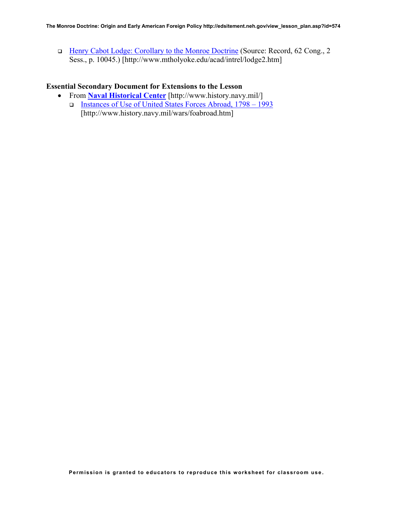□ [Henry Cabot Lodge: Corollary to the Monroe Doctrine](http://www.mtholyoke.edu/acad/intrel/lodge2.htm) (Source: Record, 62 Cong., 2 Sess., p. 10045.) [http://www.mtholyoke.edu/acad/intrel/lodge2.htm]

# **Essential Secondary Document for Extensions to the Lesson**

- From **[Naval Historical Center](http://www.history.navy.mil/)** [http://www.history.navy.mil/]
	- [Instances of Use of United States Forces Abroad, 1798 1993](http://www.history.navy.mil/wars/foabroad.htm) [http://www.history.navy.mil/wars/foabroad.htm]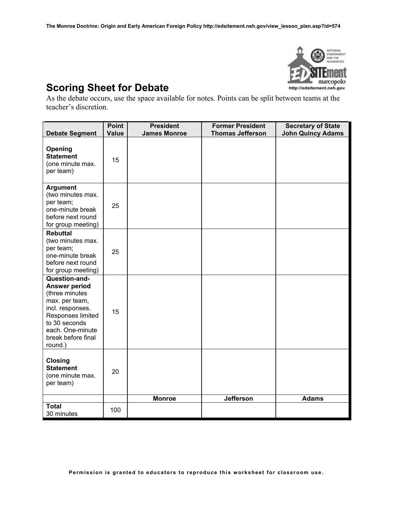

# **Scoring Sheet for Debate**

As the debate occurs, use the space available for notes. Points can be split between teams at the teacher's discretion.

| <b>Debate Segment</b>                                                                                                                                                                    | <b>Point</b><br><b>Value</b> | <b>President</b><br><b>James Monroe</b> | <b>Former President</b><br><b>Thomas Jefferson</b> | <b>Secretary of State</b><br><b>John Quincy Adams</b> |
|------------------------------------------------------------------------------------------------------------------------------------------------------------------------------------------|------------------------------|-----------------------------------------|----------------------------------------------------|-------------------------------------------------------|
| Opening<br><b>Statement</b><br>(one minute max.<br>per team)                                                                                                                             | 15                           |                                         |                                                    |                                                       |
| <b>Argument</b><br>(two minutes max.<br>per team;<br>one-minute break<br>before next round<br>for group meeting)                                                                         | 25                           |                                         |                                                    |                                                       |
| <b>Rebuttal</b><br>(two minutes max.<br>per team;<br>one-minute break<br>before next round<br>for group meeting)                                                                         | 25                           |                                         |                                                    |                                                       |
| Question-and-<br><b>Answer period</b><br>(three minutes<br>max. per team,<br>incl. responses.<br>Responses limited<br>to 30 seconds<br>each. One-minute<br>break before final<br>round.) | 15                           |                                         |                                                    |                                                       |
| <b>Closing</b><br><b>Statement</b><br>(one minute max.<br>per team)                                                                                                                      | 20                           |                                         |                                                    |                                                       |
| <b>Total</b>                                                                                                                                                                             | 100                          | <b>Monroe</b>                           | <b>Jefferson</b>                                   | <b>Adams</b>                                          |
| 30 minutes                                                                                                                                                                               |                              |                                         |                                                    |                                                       |

**Permission is granted to educators to reproduce this worksheet for classroom use**.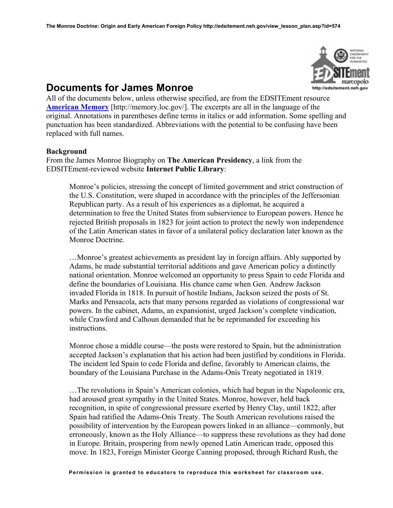

# **Documents for James Monroe**

All of the documents below, unless otherwise specified, are from the EDSITEment resource **[American Memory](http://memory.loc.gov/)** [http://memory.loc.gov/]. The excerpts are all in the language of the original. Annotations in parentheses define terms in italics or add information. Some spelling and punctuation has been standardized. Abbreviations with the potential to be confusing have been replaced with full names.

### **Background**

From the James Monroe Biography on **The American Presidency**, a link from the EDSITEment-reviewed website **Internet Public Library**:

Monroe's policies, stressing the concept of limited government and strict construction of the U.S. Constitution, were shaped in accordance with the principles of the Jeffersonian Republican party. As a result of his experiences as a diplomat, he acquired a determination to free the United States from subservience to European powers. Hence he rejected British proposals in 1823 for joint action to protect the newly won independence of the Latin American states in favor of a unilateral policy declaration later known as the Monroe Doctrine.

…Monroe's greatest achievements as president lay in foreign affairs. Ably supported by Adams, he made substantial territorial additions and gave American policy a distinctly national orientation. Monroe welcomed an opportunity to press Spain to cede Florida and define the boundaries of Louisiana. His chance came when Gen. Andrew Jackson invaded Florida in 1818. In pursuit of hostile Indians, Jackson seized the posts of St. Marks and Pensacola, acts that many persons regarded as violations of congressional war powers. In the cabinet, Adams, an expansionist, urged Jackson's complete vindication, while Crawford and Calhoun demanded that he be reprimanded for exceeding his instructions.

Monroe chose a middle course—the posts were restored to Spain, but the administration accepted Jackson's explanation that his action had been justified by conditions in Florida. The incident led Spain to cede Florida and define, favorably to American claims, the boundary of the Louisiana Purchase in the Adams-Onís Treaty negotiated in 1819.

…The revolutions in Spain's American colonies, which had begun in the Napoleonic era, had aroused great sympathy in the United States. Monroe, however, held back recognition, in spite of congressional pressure exerted by Henry Clay, until 1822, after Spain had ratified the Adams-Onís Treaty. The South American revolutions raised the possibility of intervention by the European powers linked in an alliance—commonly, but erroneously, known as the Holy Alliance—to suppress these revolutions as they had done in Europe. Britain, prospering from newly opened Latin American trade, opposed this move. In 1823, Foreign Minister George Canning proposed, through Richard Rush, the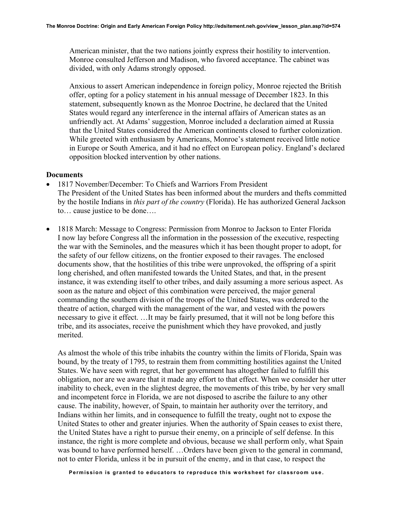American minister, that the two nations jointly express their hostility to intervention. Monroe consulted Jefferson and Madison, who favored acceptance. The cabinet was divided, with only Adams strongly opposed.

Anxious to assert American independence in foreign policy, Monroe rejected the British offer, opting for a policy statement in his annual message of December 1823. In this statement, subsequently known as the Monroe Doctrine, he declared that the United States would regard any interference in the internal affairs of American states as an unfriendly act. At Adams' suggestion, Monroe included a declaration aimed at Russia that the United States considered the American continents closed to further colonization. While greeted with enthusiasm by Americans, Monroe's statement received little notice in Europe or South America, and it had no effect on European policy. England's declared opposition blocked intervention by other nations.

### **Documents**

- 1817 November/December: To Chiefs and Warriors From President The President of the United States has been informed about the murders and thefts committed by the hostile Indians in *this part of the country* (Florida). He has authorized General Jackson to… cause justice to be done….
- 1818 March: Message to Congress: Permission from Monroe to Jackson to Enter Florida I now lay before Congress all the information in the possession of the executive, respecting the war with the Seminoles, and the measures which it has been thought proper to adopt, for the safety of our fellow citizens, on the frontier exposed to their ravages. The enclosed documents show, that the hostilities of this tribe were unprovoked, the offspring of a spirit long cherished, and often manifested towards the United States, and that, in the present instance, it was extending itself to other tribes, and daily assuming a more serious aspect. As soon as the nature and object of this combination were perceived, the major general commanding the southern division of the troops of the United States, was ordered to the theatre of action, charged with the management of the war, and vested with the powers necessary to give it effect. …It may be fairly presumed, that it will not be long before this tribe, and its associates, receive the punishment which they have provoked, and justly merited.

As almost the whole of this tribe inhabits the country within the limits of Florida, Spain was bound, by the treaty of 1795, to restrain them from committing hostilities against the United States. We have seen with regret, that her government has altogether failed to fulfill this obligation, nor are we aware that it made any effort to that effect. When we consider her utter inability to check, even in the slightest degree, the movements of this tribe, by her very small and incompetent force in Florida, we are not disposed to ascribe the failure to any other cause. The inability, however, of Spain, to maintain her authority over the territory, and Indians within her limits, and in consequence to fulfill the treaty, ought not to expose the United States to other and greater injuries. When the authority of Spain ceases to exist there, the United States have a right to pursue their enemy, on a principle of self defense. In this instance, the right is more complete and obvious, because we shall perform only, what Spain was bound to have performed herself. …Orders have been given to the general in command, not to enter Florida, unless it be in pursuit of the enemy, and in that case, to respect the

**Permission is granted to educators to reproduce this worksheet for classroom use**.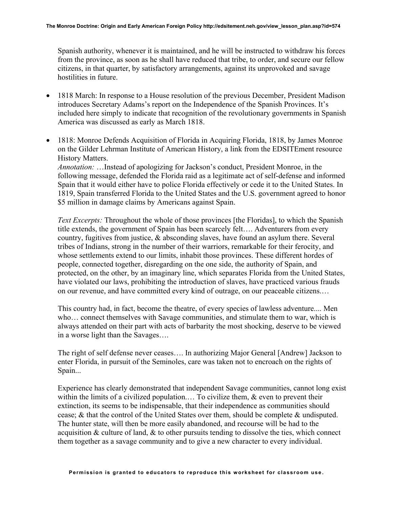Spanish authority, whenever it is maintained, and he will be instructed to withdraw his forces from the province, as soon as he shall have reduced that tribe, to order, and secure our fellow citizens, in that quarter, by satisfactory arrangements, against its unprovoked and savage hostilities in future.

- 1818 March: In response to a House resolution of the previous December, President Madison introduces Secretary Adams's report on the Independence of the Spanish Provinces. It's included here simply to indicate that recognition of the revolutionary governments in Spanish America was discussed as early as March 1818.
- 1818: Monroe Defends Acquisition of Florida in Acquiring Florida, 1818, by James Monroe on the Gilder Lehrman Institute of American History, a link from the EDSITEment resource History Matters.

*Annotation:* …Instead of apologizing for Jackson's conduct, President Monroe, in the following message, defended the Florida raid as a legitimate act of self-defense and informed Spain that it would either have to police Florida effectively or cede it to the United States. In 1819, Spain transferred Florida to the United States and the U.S. government agreed to honor \$5 million in damage claims by Americans against Spain.

*Text Excerpts:* Throughout the whole of those provinces [the Floridas], to which the Spanish title extends, the government of Spain has been scarcely felt…. Adventurers from every country, fugitives from justice, & absconding slaves, have found an asylum there. Several tribes of Indians, strong in the number of their warriors, remarkable for their ferocity, and whose settlements extend to our limits, inhabit those provinces. These different hordes of people, connected together, disregarding on the one side, the authority of Spain, and protected, on the other, by an imaginary line, which separates Florida from the United States, have violated our laws, prohibiting the introduction of slaves, have practiced various frauds on our revenue, and have committed every kind of outrage, on our peaceable citizens.…

This country had, in fact, become the theatre, of every species of lawless adventure.... Men who… connect themselves with Savage communities, and stimulate them to war, which is always attended on their part with acts of barbarity the most shocking, deserve to be viewed in a worse light than the Savages….

The right of self defense never ceases…. In authorizing Major General [Andrew] Jackson to enter Florida, in pursuit of the Seminoles, care was taken not to encroach on the rights of Spain...

Experience has clearly demonstrated that independent Savage communities, cannot long exist within the limits of a civilized population.... To civilize them, & even to prevent their extinction, its seems to be indispensable, that their independence as communities should cease; & that the control of the United States over them, should be complete & undisputed. The hunter state, will then be more easily abandoned, and recourse will be had to the acquisition  $\&$  culture of land,  $\&$  to other pursuits tending to dissolve the ties, which connect them together as a savage community and to give a new character to every individual.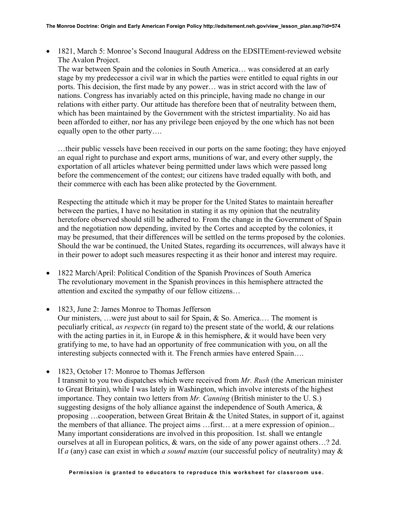• 1821, March 5: Monroe's Second Inaugural Address on the EDSITEment-reviewed website The Avalon Project.

The war between Spain and the colonies in South America… was considered at an early stage by my predecessor a civil war in which the parties were entitled to equal rights in our ports. This decision, the first made by any power… was in strict accord with the law of nations. Congress has invariably acted on this principle, having made no change in our relations with either party. Our attitude has therefore been that of neutrality between them, which has been maintained by the Government with the strictest impartiality. No aid has been afforded to either, nor has any privilege been enjoyed by the one which has not been equally open to the other party….

…their public vessels have been received in our ports on the same footing; they have enjoyed an equal right to purchase and export arms, munitions of war, and every other supply, the exportation of all articles whatever being permitted under laws which were passed long before the commencement of the contest; our citizens have traded equally with both, and their commerce with each has been alike protected by the Government.

Respecting the attitude which it may be proper for the United States to maintain hereafter between the parties, I have no hesitation in stating it as my opinion that the neutrality heretofore observed should still be adhered to. From the change in the Government of Spain and the negotiation now depending, invited by the Cortes and accepted by the colonies, it may be presumed, that their differences will be settled on the terms proposed by the colonies. Should the war be continued, the United States, regarding its occurrences, will always have it in their power to adopt such measures respecting it as their honor and interest may require.

- 1822 March/April: Political Condition of the Spanish Provinces of South America The revolutionary movement in the Spanish provinces in this hemisphere attracted the attention and excited the sympathy of our fellow citizens…
- 1823, June 2: James Monroe to Thomas Jefferson Our ministers, …were just about to sail for Spain, & So. America.… The moment is peculiarly critical, *as respects* (in regard to) the present state of the world, & our relations with the acting parties in it, in Europe  $\&$  in this hemisphere,  $\&$  it would have been very gratifying to me, to have had an opportunity of free communication with you, on all the interesting subjects connected with it. The French armies have entered Spain….
- 1823, October 17: Monroe to Thomas Jefferson I transmit to you two dispatches which were received from *Mr. Rush* (the American minister to Great Britain), while I was lately in Washington, which involve interests of the highest importance. They contain two letters from *Mr. Canning* (British minister to the U. S.) suggesting designs of the holy alliance against the independence of South America,  $\&$ proposing ... cooperation, between Great Britain  $\&$  the United States, in support of it, against the members of that alliance. The project aims …first… at a mere expression of opinion... Many important considerations are involved in this proposition. 1st. shall we entangle ourselves at all in European politics, & wars, on the side of any power against others…? 2d. If *a* (any) case can exist in which *a sound maxim* (our successful policy of neutrality) may &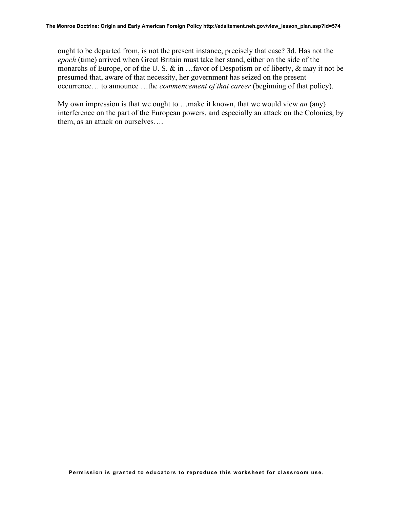ought to be departed from, is not the present instance, precisely that case? 3d. Has not the *epoch* (time) arrived when Great Britain must take her stand, either on the side of the monarchs of Europe, or of the U. S. & in …favor of Despotism or of liberty, & may it not be presumed that, aware of that necessity, her government has seized on the present occurrence… to announce …the *commencement of that career* (beginning of that policy).

My own impression is that we ought to …make it known, that we would view *an* (any) interference on the part of the European powers, and especially an attack on the Colonies, by them, as an attack on ourselves….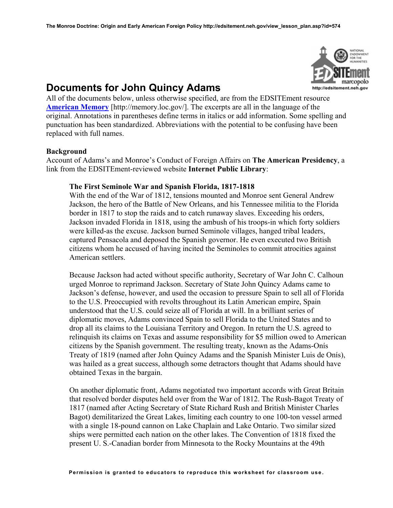

# **Documents for John Quincy Adams**

All of the documents below, unless otherwise specified, are from the EDSITEment resource **[American Memory](http://memory.loc.gov/)** [http://memory.loc.gov/]. The excerpts are all in the language of the original. Annotations in parentheses define terms in italics or add information. Some spelling and punctuation has been standardized. Abbreviations with the potential to be confusing have been replaced with full names.

### **Background**

Account of Adams's and Monroe's Conduct of Foreign Affairs on **The American Presidency**, a link from the EDSITEment-reviewed website **Internet Public Library**:

### **The First Seminole War and Spanish Florida, 1817-1818**

With the end of the War of 1812, tensions mounted and Monroe sent General Andrew Jackson, the hero of the Battle of New Orleans, and his Tennessee militia to the Florida border in 1817 to stop the raids and to catch runaway slaves. Exceeding his orders, Jackson invaded Florida in 1818, using the ambush of his troops-in which forty soldiers were killed-as the excuse. Jackson burned Seminole villages, hanged tribal leaders, captured Pensacola and deposed the Spanish governor. He even executed two British citizens whom he accused of having incited the Seminoles to commit atrocities against American settlers.

Because Jackson had acted without specific authority, Secretary of War John C. Calhoun urged Monroe to reprimand Jackson. Secretary of State John Quincy Adams came to Jackson's defense, however, and used the occasion to pressure Spain to sell all of Florida to the U.S. Preoccupied with revolts throughout its Latin American empire, Spain understood that the U.S. could seize all of Florida at will. In a brilliant series of diplomatic moves, Adams convinced Spain to sell Florida to the United States and to drop all its claims to the Louisiana Territory and Oregon. In return the U.S. agreed to relinquish its claims on Texas and assume responsibility for \$5 million owed to American citizens by the Spanish government. The resulting treaty, known as the Adams-Onís Treaty of 1819 (named after John Quincy Adams and the Spanish Minister Luis de Onís), was hailed as a great success, although some detractors thought that Adams should have obtained Texas in the bargain.

On another diplomatic front, Adams negotiated two important accords with Great Britain that resolved border disputes held over from the War of 1812. The Rush-Bagot Treaty of 1817 (named after Acting Secretary of State Richard Rush and British Minister Charles Bagot) demilitarized the Great Lakes, limiting each country to one 100-ton vessel armed with a single 18-pound cannon on Lake Chaplain and Lake Ontario. Two similar sized ships were permitted each nation on the other lakes. The Convention of 1818 fixed the present U. S.-Canadian border from Minnesota to the Rocky Mountains at the 49th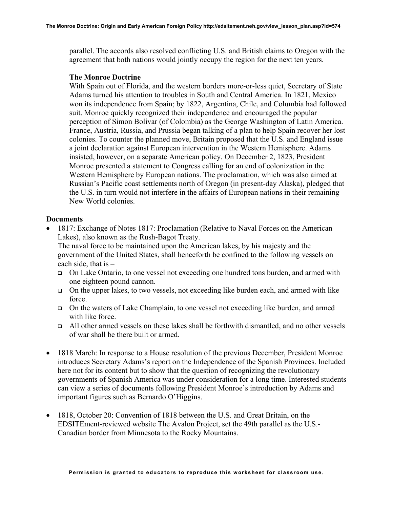parallel. The accords also resolved conflicting U.S. and British claims to Oregon with the agreement that both nations would jointly occupy the region for the next ten years.

### **The Monroe Doctrine**

With Spain out of Florida, and the western borders more-or-less quiet, Secretary of State Adams turned his attention to troubles in South and Central America. In 1821, Mexico won its independence from Spain; by 1822, Argentina, Chile, and Columbia had followed suit. Monroe quickly recognized their independence and encouraged the popular perception of Simon Bolivar (of Colombia) as the George Washington of Latin America. France, Austria, Russia, and Prussia began talking of a plan to help Spain recover her lost colonies. To counter the planned move, Britain proposed that the U.S. and England issue a joint declaration against European intervention in the Western Hemisphere. Adams insisted, however, on a separate American policy. On December 2, 1823, President Monroe presented a statement to Congress calling for an end of colonization in the Western Hemisphere by European nations. The proclamation, which was also aimed at Russian's Pacific coast settlements north of Oregon (in present-day Alaska), pledged that the U.S. in turn would not interfere in the affairs of European nations in their remaining New World colonies.

### **Documents**

• 1817: Exchange of Notes 1817: Proclamation (Relative to Naval Forces on the American Lakes), also known as the Rush-Bagot Treaty.

The naval force to be maintained upon the American lakes, by his majesty and the government of the United States, shall henceforth be confined to the following vessels on each side, that is –

- On Lake Ontario, to one vessel not exceeding one hundred tons burden, and armed with one eighteen pound cannon.
- On the upper lakes, to two vessels, not exceeding like burden each, and armed with like force.
- On the waters of Lake Champlain, to one vessel not exceeding like burden, and armed with like force
- All other armed vessels on these lakes shall be forthwith dismantled, and no other vessels of war shall be there built or armed.
- 1818 March: In response to a House resolution of the previous December, President Monroe introduces Secretary Adams's report on the Independence of the Spanish Provinces. Included here not for its content but to show that the question of recognizing the revolutionary governments of Spanish America was under consideration for a long time. Interested students can view a series of documents following President Monroe's introduction by Adams and important figures such as Bernardo O'Higgins.
- 1818, October 20: Convention of 1818 between the U.S. and Great Britain, on the EDSITEment-reviewed website The Avalon Project, set the 49th parallel as the U.S.- Canadian border from Minnesota to the Rocky Mountains.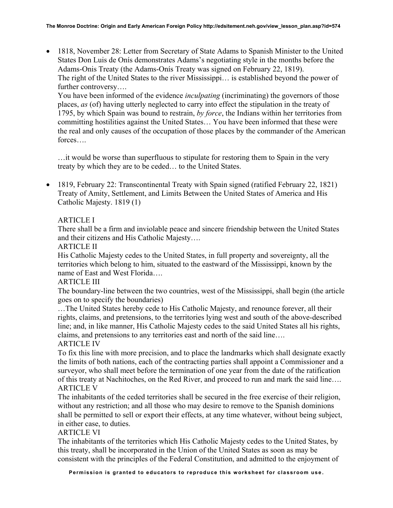• 1818, November 28: Letter from Secretary of State Adams to Spanish Minister to the United States Don Luis de Onís demonstrates Adams's negotiating style in the months before the Adams-Onis Treaty (the Adams-Onís Treaty was signed on February 22, 1819). The right of the United States to the river Mississippi… is established beyond the power of further controversy....

You have been informed of the evidence *inculpating* (incriminating) the governors of those places, *as* (of) having utterly neglected to carry into effect the stipulation in the treaty of 1795, by which Spain was bound to restrain, *by force*, the Indians within her territories from committing hostilities against the United States… You have been informed that these were the real and only causes of the occupation of those places by the commander of the American forces….

…it would be worse than superfluous to stipulate for restoring them to Spain in the very treaty by which they are to be ceded… to the United States.

• 1819, February 22: Transcontinental Treaty with Spain signed (ratified February 22, 1821) Treaty of Amity, Settlement, and Limits Between the United States of America and His Catholic Majesty. 1819 (1)

# ARTICLE I

There shall be a firm and inviolable peace and sincere friendship between the United States and their citizens and His Catholic Majesty….

## ARTICLE II

His Catholic Majesty cedes to the United States, in full property and sovereignty, all the territories which belong to him, situated to the eastward of the Mississippi, known by the name of East and West Florida….

# ARTICLE III

The boundary-line between the two countries, west of the Mississippi, shall begin (the article goes on to specify the boundaries)

…The United States hereby cede to His Catholic Majesty, and renounce forever, all their rights, claims, and pretensions, to the territories lying west and south of the above-described line; and, in like manner, His Catholic Majesty cedes to the said United States all his rights, claims, and pretensions to any territories east and north of the said line….

# ARTICLE IV

To fix this line with more precision, and to place the landmarks which shall designate exactly the limits of both nations, each of the contracting parties shall appoint a Commissioner and a surveyor, who shall meet before the termination of one year from the date of the ratification of this treaty at Nachitoches, on the Red River, and proceed to run and mark the said line…. ARTICLE V

The inhabitants of the ceded territories shall be secured in the free exercise of their religion, without any restriction; and all those who may desire to remove to the Spanish dominions shall be permitted to sell or export their effects, at any time whatever, without being subject, in either case, to duties.

# ARTICLE VI

The inhabitants of the territories which His Catholic Majesty cedes to the United States, by this treaty, shall be incorporated in the Union of the United States as soon as may be consistent with the principles of the Federal Constitution, and admitted to the enjoyment of

**Permission is granted to educators to reproduce this worksheet for classroom use**.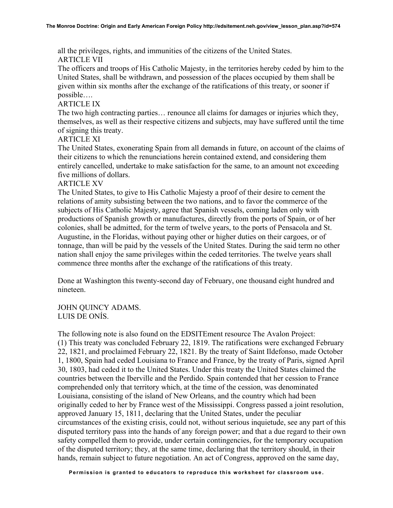all the privileges, rights, and immunities of the citizens of the United States. ARTICLE VII

The officers and troops of His Catholic Majesty, in the territories hereby ceded by him to the United States, shall be withdrawn, and possession of the places occupied by them shall be given within six months after the exchange of the ratifications of this treaty, or sooner if possible….

## ARTICLE IX

The two high contracting parties… renounce all claims for damages or injuries which they, themselves, as well as their respective citizens and subjects, may have suffered until the time of signing this treaty.

## ARTICLE XI

The United States, exonerating Spain from all demands in future, on account of the claims of their citizens to which the renunciations herein contained extend, and considering them entirely cancelled, undertake to make satisfaction for the same, to an amount not exceeding five millions of dollars.

## ARTICLE XV

The United States, to give to His Catholic Majesty a proof of their desire to cement the relations of amity subsisting between the two nations, and to favor the commerce of the subjects of His Catholic Majesty, agree that Spanish vessels, coming laden only with productions of Spanish growth or manufactures, directly from the ports of Spain, or of her colonies, shall be admitted, for the term of twelve years, to the ports of Pensacola and St. Augustine, in the Floridas, without paying other or higher duties on their cargoes, or of tonnage, than will be paid by the vessels of the United States. During the said term no other nation shall enjoy the same privileges within the ceded territories. The twelve years shall commence three months after the exchange of the ratifications of this treaty.

Done at Washington this twenty-second day of February, one thousand eight hundred and nineteen.

JOHN QUINCY ADAMS. LUIS DE ONÍS.

The following note is also found on the EDSITEment resource The Avalon Project: (1) This treaty was concluded February 22, 1819. The ratifications were exchanged February 22, 1821, and proclaimed February 22, 1821. By the treaty of Saint Ildefonso, made October 1, 1800, Spain had ceded Louisiana to France and France, by the treaty of Paris, signed April 30, 1803, had ceded it to the United States. Under this treaty the United States claimed the countries between the Iberville and the Perdido. Spain contended that her cession to France comprehended only that territory which, at the time of the cession, was denominated Louisiana, consisting of the island of New Orleans, and the country which had been originally ceded to her by France west of the Mississippi. Congress passed a joint resolution, approved January 15, 1811, declaring that the United States, under the peculiar circumstances of the existing crisis, could not, without serious inquietude, see any part of this disputed territory pass into the hands of any foreign power; and that a due regard to their own safety compelled them to provide, under certain contingencies, for the temporary occupation of the disputed territory; they, at the same time, declaring that the territory should, in their hands, remain subject to future negotiation. An act of Congress, approved on the same day,

**Permission is granted to educators to reproduce this worksheet for classroom use**.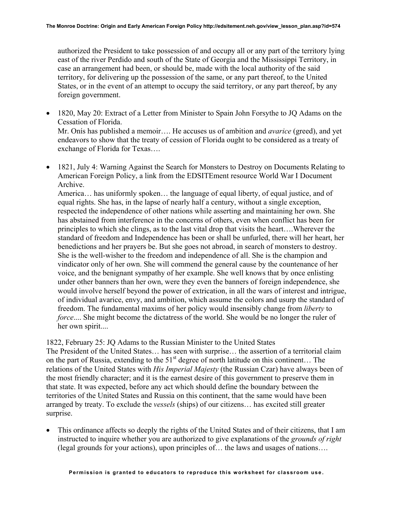authorized the President to take possession of and occupy all or any part of the territory lying east of the river Perdido and south of the State of Georgia and the Mississippi Territory, in case an arrangement had been, or should be, made with the local authority of the said territory, for delivering up the possession of the same, or any part thereof, to the United States, or in the event of an attempt to occupy the said territory, or any part thereof, by any foreign government.

- 1820, May 20: Extract of a Letter from Minister to Spain John Forsythe to JQ Adams on the Cessation of Florida. Mr. Onís has published a memoir…. He accuses us of ambition and *avarice* (greed), and yet endeavors to show that the treaty of cession of Florida ought to be considered as a treaty of exchange of Florida for Texas….
- 1821, July 4: Warning Against the Search for Monsters to Destroy on Documents Relating to American Foreign Policy, a link from the EDSITEment resource World War I Document Archive.

America… has uniformly spoken… the language of equal liberty, of equal justice, and of equal rights. She has, in the lapse of nearly half a century, without a single exception, respected the independence of other nations while asserting and maintaining her own. She has abstained from interference in the concerns of others, even when conflict has been for principles to which she clings, as to the last vital drop that visits the heart….Wherever the standard of freedom and Independence has been or shall be unfurled, there will her heart, her benedictions and her prayers be. But she goes not abroad, in search of monsters to destroy. She is the well-wisher to the freedom and independence of all. She is the champion and vindicator only of her own. She will commend the general cause by the countenance of her voice, and the benignant sympathy of her example. She well knows that by once enlisting under other banners than her own, were they even the banners of foreign independence, she would involve herself beyond the power of extrication, in all the wars of interest and intrigue, of individual avarice, envy, and ambition, which assume the colors and usurp the standard of freedom. The fundamental maxims of her policy would insensibly change from *liberty* to *force*.... She might become the dictatress of the world. She would be no longer the ruler of her own spirit....

1822, February 25: JQ Adams to the Russian Minister to the United States The President of the United States… has seen with surprise… the assertion of a territorial claim on the part of Russia, extending to the  $51<sup>st</sup>$  degree of north latitude on this continent... The relations of the United States with *His Imperial Majesty* (the Russian Czar) have always been of the most friendly character; and it is the earnest desire of this government to preserve them in that state. It was expected, before any act which should define the boundary between the territories of the United States and Russia on this continent, that the same would have been arranged by treaty. To exclude the *vessels* (ships) of our citizens… has excited still greater surprise.

• This ordinance affects so deeply the rights of the United States and of their citizens, that I am instructed to inquire whether you are authorized to give explanations of the *grounds of right* (legal grounds for your actions), upon principles of… the laws and usages of nations….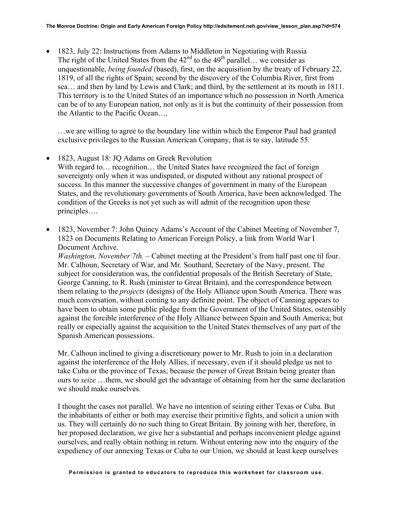• 1823, July 22: Instructions from Adams to Middleton in Negotiating with Russia The right of the United States from the  $42<sup>nd</sup>$  to the 49<sup>th</sup> parallel… we consider as unquestionable, *being founded* (based), first, on the acquisition by the treaty of February 22, 1819, of all the rights of Spain; second by the discovery of the Columbia River, first from sea… and then by land by Lewis and Clark; and third, by the settlement at its mouth in 1811. This territory is to the United States of an importance which no possession in North America can be of to any European nation, not only as it is but the continuity of their possession from the Atlantic to the Pacific Ocean….

…we are willing to agree to the boundary line within which the Emperor Paul had granted exclusive privileges to the Russian American Company, that is to say, latitude 55.

- 1823, August 18: JQ Adams on Greek Revolution With regard to... recognition... the United States have recognized the fact of foreign sovereignty only when it was undisputed, or disputed without any rational prospect of success. In this manner the successive changes of government in many of the European States, and the revolutionary governments of South America, have been acknowledged. The condition of the Greeks is not yet such as will admit of the recognition upon these principles….
- 1823, November 7: John Quincy Adams's Account of the Cabinet Meeting of November 7, 1823 on Documents Relating to American Foreign Policy, a link from World War I Document Archive.

*Washington, November 7th.* – Cabinet meeting at the President's from half past one til four. Mr. Calhoun, Secretary of War, and Mr. Southard, Secretary of the Navy, present. The subject for consideration was, the confidential proposals of the British Secretary of State, George Canning, to R. Rush (minister to Great Britain), and the correspondence between them relating to the *projects* (designs) of the Holy Alliance upon South America. There was much conversation, without coming to any definite point. The object of Canning appears to have been to obtain some public pledge from the Government of the United States, ostensibly against the forcible interference of the Holy Alliance between Spain and South America; but really or especially against the acquisition to the United States themselves of any part of the Spanish American possessions.

Mr. Calhoun inclined to giving a discretionary power to Mr. Rush to join in a declaration against the interference of the Holy Allies, if necessary, even if it should pledge us not to take Cuba or the province of Texas; because the power of Great Britain being greater than ours to *seize* …them, we should get the advantage of obtaining from her the same declaration we should make ourselves.

I thought the cases not parallel. We have no intention of seizing either Texas or Cuba. But the inhabitants of either or both may exercise their primitive fights, and solicit a union with us. They will certainly do no such thing to Great Britain. By joining with her, therefore, in her proposed declaration, we give her a substantial and perhaps inconvenient pledge against ourselves, and really obtain nothing in return. Without entering now into the enquiry of the expediency of our annexing Texas or Cuba to our Union, we should at least keep ourselves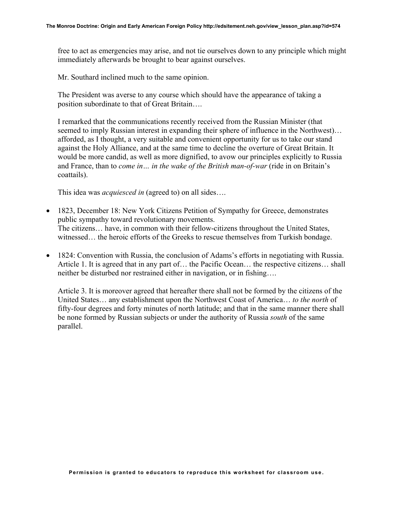free to act as emergencies may arise, and not tie ourselves down to any principle which might immediately afterwards be brought to bear against ourselves.

Mr. Southard inclined much to the same opinion.

The President was averse to any course which should have the appearance of taking a position subordinate to that of Great Britain….

I remarked that the communications recently received from the Russian Minister (that seemed to imply Russian interest in expanding their sphere of influence in the Northwest)… afforded, as I thought, a very suitable and convenient opportunity for us to take our stand against the Holy Alliance, and at the same time to decline the overture of Great Britain. It would be more candid, as well as more dignified, to avow our principles explicitly to Russia and France, than to *come in… in the wake of the British man-of-war* (ride in on Britain's coattails).

This idea was *acquiesced in* (agreed to) on all sides….

- 1823, December 18: New York Citizens Petition of Sympathy for Greece, demonstrates public sympathy toward revolutionary movements. The citizens… have, in common with their fellow-citizens throughout the United States, witnessed… the heroic efforts of the Greeks to rescue themselves from Turkish bondage.
- 1824: Convention with Russia, the conclusion of Adams's efforts in negotiating with Russia. Article 1. It is agreed that in any part of… the Pacific Ocean… the respective citizens… shall neither be disturbed nor restrained either in navigation, or in fishing….

Article 3. It is moreover agreed that hereafter there shall not be formed by the citizens of the United States… any establishment upon the Northwest Coast of America… *to the north* of fifty-four degrees and forty minutes of north latitude; and that in the same manner there shall be none formed by Russian subjects or under the authority of Russia *south* of the same parallel.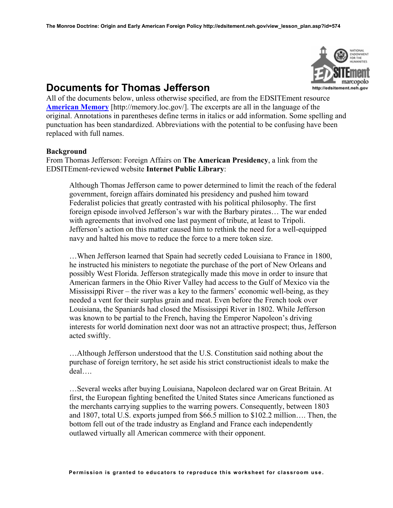

# **Documents for Thomas Jefferson**

All of the documents below, unless otherwise specified, are from the EDSITEment resource **[American Memory](http://memory.loc.gov/)** [http://memory.loc.gov/]. The excerpts are all in the language of the original. Annotations in parentheses define terms in italics or add information. Some spelling and punctuation has been standardized. Abbreviations with the potential to be confusing have been replaced with full names.

### **Background**

From Thomas Jefferson: Foreign Affairs on **The American Presidency**, a link from the EDSITEment-reviewed website **Internet Public Library**:

Although Thomas Jefferson came to power determined to limit the reach of the federal government, foreign affairs dominated his presidency and pushed him toward Federalist policies that greatly contrasted with his political philosophy. The first foreign episode involved Jefferson's war with the Barbary pirates… The war ended with agreements that involved one last payment of tribute, at least to Tripoli. Jefferson's action on this matter caused him to rethink the need for a well-equipped navy and halted his move to reduce the force to a mere token size.

…When Jefferson learned that Spain had secretly ceded Louisiana to France in 1800, he instructed his ministers to negotiate the purchase of the port of New Orleans and possibly West Florida. Jefferson strategically made this move in order to insure that American farmers in the Ohio River Valley had access to the Gulf of Mexico via the Mississippi River – the river was a key to the farmers' economic well-being, as they needed a vent for their surplus grain and meat. Even before the French took over Louisiana, the Spaniards had closed the Mississippi River in 1802. While Jefferson was known to be partial to the French, having the Emperor Napoleon's driving interests for world domination next door was not an attractive prospect; thus, Jefferson acted swiftly.

…Although Jefferson understood that the U.S. Constitution said nothing about the purchase of foreign territory, he set aside his strict constructionist ideals to make the deal….

…Several weeks after buying Louisiana, Napoleon declared war on Great Britain. At first, the European fighting benefited the United States since Americans functioned as the merchants carrying supplies to the warring powers. Consequently, between 1803 and 1807, total U.S. exports jumped from \$66.5 million to \$102.2 million…. Then, the bottom fell out of the trade industry as England and France each independently outlawed virtually all American commerce with their opponent.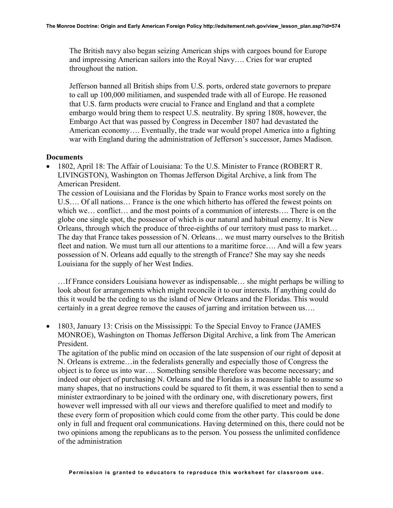The British navy also began seizing American ships with cargoes bound for Europe and impressing American sailors into the Royal Navy…. Cries for war erupted throughout the nation.

Jefferson banned all British ships from U.S. ports, ordered state governors to prepare to call up 100,000 militiamen, and suspended trade with all of Europe. He reasoned that U.S. farm products were crucial to France and England and that a complete embargo would bring them to respect U.S. neutrality. By spring 1808, however, the Embargo Act that was passed by Congress in December 1807 had devastated the American economy…. Eventually, the trade war would propel America into a fighting war with England during the administration of Jefferson's successor, James Madison.

### **Documents**

• 1802, April 18: The Affair of Louisiana: To the U.S. Minister to France (ROBERT R. LIVINGSTON), Washington on Thomas Jefferson Digital Archive, a link from The American President.

The cession of Louisiana and the Floridas by Spain to France works most sorely on the U.S…. Of all nations… France is the one which hitherto has offered the fewest points on which we… conflict… and the most points of a communion of interests…. There is on the globe one single spot, the possessor of which is our natural and habitual enemy. It is New Orleans, through which the produce of three-eighths of our territory must pass to market… The day that France takes possession of N. Orleans… we must marry ourselves to the British fleet and nation. We must turn all our attentions to a maritime force…. And will a few years possession of N. Orleans add equally to the strength of France? She may say she needs Louisiana for the supply of her West Indies.

…If France considers Louisiana however as indispensable… she might perhaps be willing to look about for arrangements which might reconcile it to our interests. If anything could do this it would be the ceding to us the island of New Orleans and the Floridas. This would certainly in a great degree remove the causes of jarring and irritation between us….

• 1803, January 13: Crisis on the Mississippi: To the Special Envoy to France (JAMES MONROE), Washington on Thomas Jefferson Digital Archive, a link from The American President.

The agitation of the public mind on occasion of the late suspension of our right of deposit at N. Orleans is extreme…in the federalists generally and especially those of Congress the object is to force us into war…. Something sensible therefore was become necessary; and indeed our object of purchasing N. Orleans and the Floridas is a measure liable to assume so many shapes, that no instructions could be squared to fit them, it was essential then to send a minister extraordinary to be joined with the ordinary one, with discretionary powers, first however well impressed with all our views and therefore qualified to meet and modify to these every form of proposition which could come from the other party. This could be done only in full and frequent oral communications. Having determined on this, there could not be two opinions among the republicans as to the person. You possess the unlimited confidence of the administration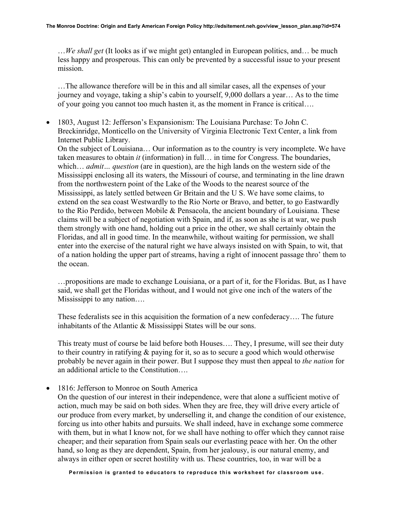…*We shall get* (It looks as if we might get) entangled in European politics, and… be much less happy and prosperous. This can only be prevented by a successful issue to your present mission.

…The allowance therefore will be in this and all similar cases, all the expenses of your journey and voyage, taking a ship's cabin to yourself, 9,000 dollars a year… As to the time of your going you cannot too much hasten it, as the moment in France is critical….

• 1803, August 12: Jefferson's Expansionism: The Louisiana Purchase: To John C. Breckinridge, Monticello on the University of Virginia Electronic Text Center, a link from Internet Public Library.

On the subject of Louisiana… Our information as to the country is very incomplete. We have taken measures to obtain *it* (information) in full… in time for Congress. The boundaries, which… *admit… question* (are in question), are the high lands on the western side of the Mississippi enclosing all its waters, the Missouri of course, and terminating in the line drawn from the northwestern point of the Lake of the Woods to the nearest source of the Mississippi, as lately settled between Gr Britain and the U S. We have some claims, to extend on the sea coast Westwardly to the Rio Norte or Bravo, and better, to go Eastwardly to the Rio Perdido, between Mobile & Pensacola, the ancient boundary of Louisiana. These claims will be a subject of negotiation with Spain, and if, as soon as she is at war, we push them strongly with one hand, holding out a price in the other, we shall certainly obtain the Floridas, and all in good time. In the meanwhile, without waiting for permission, we shall enter into the exercise of the natural right we have always insisted on with Spain, to wit, that of a nation holding the upper part of streams, having a right of innocent passage thro' them to the ocean.

…propositions are made to exchange Louisiana, or a part of it, for the Floridas. But, as I have said, we shall get the Floridas without, and I would not give one inch of the waters of the Mississippi to any nation….

These federalists see in this acquisition the formation of a new confederacy…. The future inhabitants of the Atlantic & Mississippi States will be our sons.

This treaty must of course be laid before both Houses…. They, I presume, will see their duty to their country in ratifying & paying for it, so as to secure a good which would otherwise probably be never again in their power. But I suppose they must then appeal to *the nation* for an additional article to the Constitution….

• 1816: Jefferson to Monroe on South America

On the question of our interest in their independence, were that alone a sufficient motive of action, much may be said on both sides. When they are free, they will drive every article of our produce from every market, by underselling it, and change the condition of our existence, forcing us into other habits and pursuits. We shall indeed, have in exchange some commerce with them, but in what I know not, for we shall have nothing to offer which they cannot raise cheaper; and their separation from Spain seals our everlasting peace with her. On the other hand, so long as they are dependent, Spain, from her jealousy, is our natural enemy, and always in either open or secret hostility with us. These countries, too, in war will be a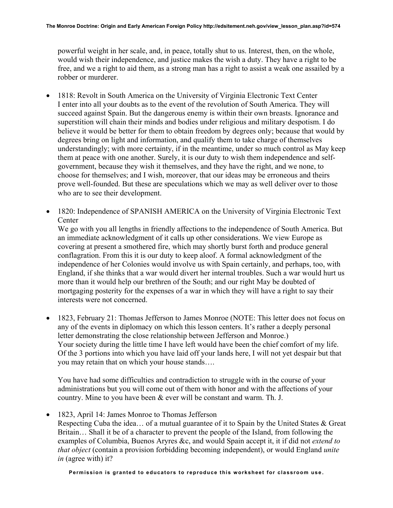powerful weight in her scale, and, in peace, totally shut to us. Interest, then, on the whole, would wish their independence, and justice makes the wish a duty. They have a right to be free, and we a right to aid them, as a strong man has a right to assist a weak one assailed by a robber or murderer.

- 1818: Revolt in South America on the University of Virginia Electronic Text Center I enter into all your doubts as to the event of the revolution of South America. They will succeed against Spain. But the dangerous enemy is within their own breasts. Ignorance and superstition will chain their minds and bodies under religious and military despotism. I do believe it would be better for them to obtain freedom by degrees only; because that would by degrees bring on light and information, and qualify them to take charge of themselves understandingly; with more certainty, if in the meantime, under so much control as May keep them at peace with one another. Surely, it is our duty to wish them independence and selfgovernment, because they wish it themselves, and they have the right, and we none, to choose for themselves; and I wish, moreover, that our ideas may be erroneous and theirs prove well-founded. But these are speculations which we may as well deliver over to those who are to see their development.
- 1820: Independence of SPANISH AMERICA on the University of Virginia Electronic Text **Center**

We go with you all lengths in friendly affections to the independence of South America. But an immediate acknowledgment of it calls up other considerations. We view Europe as covering at present a smothered fire, which may shortly burst forth and produce general conflagration. From this it is our duty to keep aloof. A formal acknowledgment of the independence of her Colonies would involve us with Spain certainly, and perhaps, too, with England, if she thinks that a war would divert her internal troubles. Such a war would hurt us more than it would help our brethren of the South; and our right May be doubted of mortgaging posterity for the expenses of a war in which they will have a right to say their interests were not concerned.

• 1823, February 21: Thomas Jefferson to James Monroe (NOTE: This letter does not focus on any of the events in diplomacy on which this lesson centers. It's rather a deeply personal letter demonstrating the close relationship between Jefferson and Monroe.) Your society during the little time I have left would have been the chief comfort of my life. Of the 3 portions into which you have laid off your lands here, I will not yet despair but that you may retain that on which your house stands….

You have had some difficulties and contradiction to struggle with in the course of your administrations but you will come out of them with honor and with the affections of your country. Mine to you have been & ever will be constant and warm. Th. J.

• 1823, April 14: James Monroe to Thomas Jefferson

Respecting Cuba the idea… of a mutual guarantee of it to Spain by the United States & Great Britain… Shall it be of a character to prevent the people of the Island, from following the examples of Columbia, Buenos Aryres &c, and would Spain accept it, it if did not *extend to that object* (contain a provision forbidding becoming independent), or would England *unite in* (agree with) it?

**Permission is granted to educators to reproduce this worksheet for classroom use**.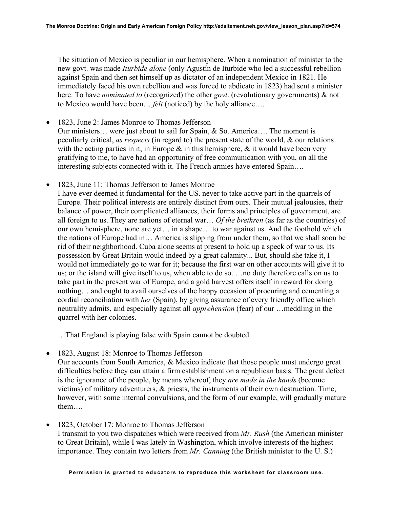The situation of Mexico is peculiar in our hemisphere. When a nomination of minister to the new govt. was made *Iturbide alone* (only Agustín de Iturbide who led a successful rebellion against Spain and then set himself up as dictator of an independent Mexico in 1821. He immediately faced his own rebellion and was forced to abdicate in 1823) had sent a minister here. To have *nominated to* (recognized) the other *govt*. (revolutionary governments) & not to Mexico would have been… *felt* (noticed) by the holy alliance….

- 1823, June 2: James Monroe to Thomas Jefferson Our ministers… were just about to sail for Spain, & So. America…. The moment is peculiarly critical, *as respects* (in regard to) the present state of the world, & our relations with the acting parties in it, in Europe  $\&$  in this hemisphere,  $\&$  it would have been very gratifying to me, to have had an opportunity of free communication with you, on all the interesting subjects connected with it. The French armies have entered Spain….
- 1823, June 11: Thomas Jefferson to James Monroe

I have ever deemed it fundamental for the US. never to take active part in the quarrels of Europe. Their political interests are entirely distinct from ours. Their mutual jealousies, their balance of power, their complicated alliances, their forms and principles of government, are all foreign to us. They are nations of eternal war… *Of the brethren* (as far as the countries) of our own hemisphere, none are yet… in a shape… to war against us. And the foothold which the nations of Europe had in… America is slipping from under them, so that we shall soon be rid of their neighborhood. Cuba alone seems at present to hold up a speck of war to us. Its possession by Great Britain would indeed by a great calamity... But, should she take it, I would not immediately go to war for it; because the first war on other accounts will give it to us; or the island will give itself to us, when able to do so. …no duty therefore calls on us to take part in the present war of Europe, and a gold harvest offers itself in reward for doing nothing… and ought to avail ourselves of the happy occasion of procuring and cementing a cordial reconciliation with *her* (Spain), by giving assurance of every friendly office which neutrality admits, and especially against all *apprehension* (fear) of our …meddling in the quarrel with her colonies.

…That England is playing false with Spain cannot be doubted.

• 1823, August 18: Monroe to Thomas Jefferson

Our accounts from South America, & Mexico indicate that those people must undergo great difficulties before they can attain a firm establishment on a republican basis. The great defect is the ignorance of the people, by means whereof, they *are made in the hands* (become victims) of military adventurers, & priests, the instruments of their own destruction. Time, however, with some internal convulsions, and the form of our example, will gradually mature them….

• 1823, October 17: Monroe to Thomas Jefferson I transmit to you two dispatches which were received from *Mr. Rush* (the American minister to Great Britain), while I was lately in Washington, which involve interests of the highest importance. They contain two letters from *Mr. Canning* (the British minister to the U. S.)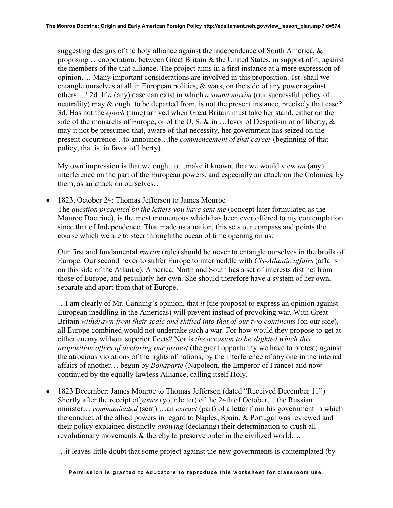suggesting designs of the holy alliance against the independence of South America,  $\&$ proposing …cooperation, between Great Britain & the United States, in support of it, against the members of the that alliance. The project aims in a first instance at a mere expression of opinion…. Many important considerations are involved in this proposition. 1st. shall we entangle ourselves at all in European politics,  $\&$  wars, on the side of any power against others…? 2d. If *a* (any) case can exist in which *a sound maxim* (our successful policy of neutrality) may  $\&$  ought to be departed from, is not the present instance, precisely that case? 3d. Has not the *epoch* (time) arrived when Great Britain must take her stand, either on the side of the monarchs of Europe, or of the U.S.  $\&$  in ... favor of Despotism or of liberty,  $\&$ may it not be presumed that, aware of that necessity, her government has seized on the present occurrence…to announce…the *commencement of that career* (beginning of that policy, that is, in favor of liberty).

My own impression is that we ought to…make it known, that we would view *an* (any) interference on the part of the European powers, and especially an attack on the Colonies, by them, as an attack on ourselves…

• 1823, October 24: Thomas Jefferson to James Monroe

The *question presented by the letters you have sent me* (concept later formulated as the Monroe Doctrine), is the most momentous which has been ever offered to my contemplation since that of Independence. That made us a nation, this sets our compass and points the course which we are to steer through the ocean of time opening on us.

Our first and fundamental *maxim* (rule) should be never to entangle ourselves in the broils of Europe. Our second never to suffer Europe to intermeddle with *Cis-Atlantic affairs* (affairs on this side of the Atlantic). America, North and South has a set of interests distinct from those of Europe, and peculiarly her own. She should therefore have a system of her own, separate and apart from that of Europe.

…I am clearly of Mr. Canning's opinion, that *it* (the proposal to express an opinion against European meddling in the Americas) will prevent instead of provoking war. With Great Britain *withdrawn from their scale and shifted into that of our two continents* (on our side), all Europe combined would not undertake such a war. For how would they propose to get at either enemy without superior fleets? Nor is *the occasion to be slighted which this proposition offers of declaring our protest* (the great opportunity we have to protest) against the atrocious violations of the rights of nations, by the interference of any one in the internal affairs of another… begun by *Bonaparte* (Napoleon, the Emperor of France) and now continued by the equally lawless Alliance, calling itself Holy.

• 1823 December: James Monroe to Thomas Jefferson (dated "Received December 11") Shortly after the receipt of *yours* (your letter) of the 24th of October… the Russian minister… *communicated* (sent) …an *extract* (part) of a letter from his government in which the conduct of the allied powers in regard to Naples, Spain, & Portugal was reviewed and their policy explained distinctly *avowing* (declaring) their determination to crush all revolutionary movements & thereby to preserve order in the civilized world….

…it leaves little doubt that some project against the new governments is contemplated (by